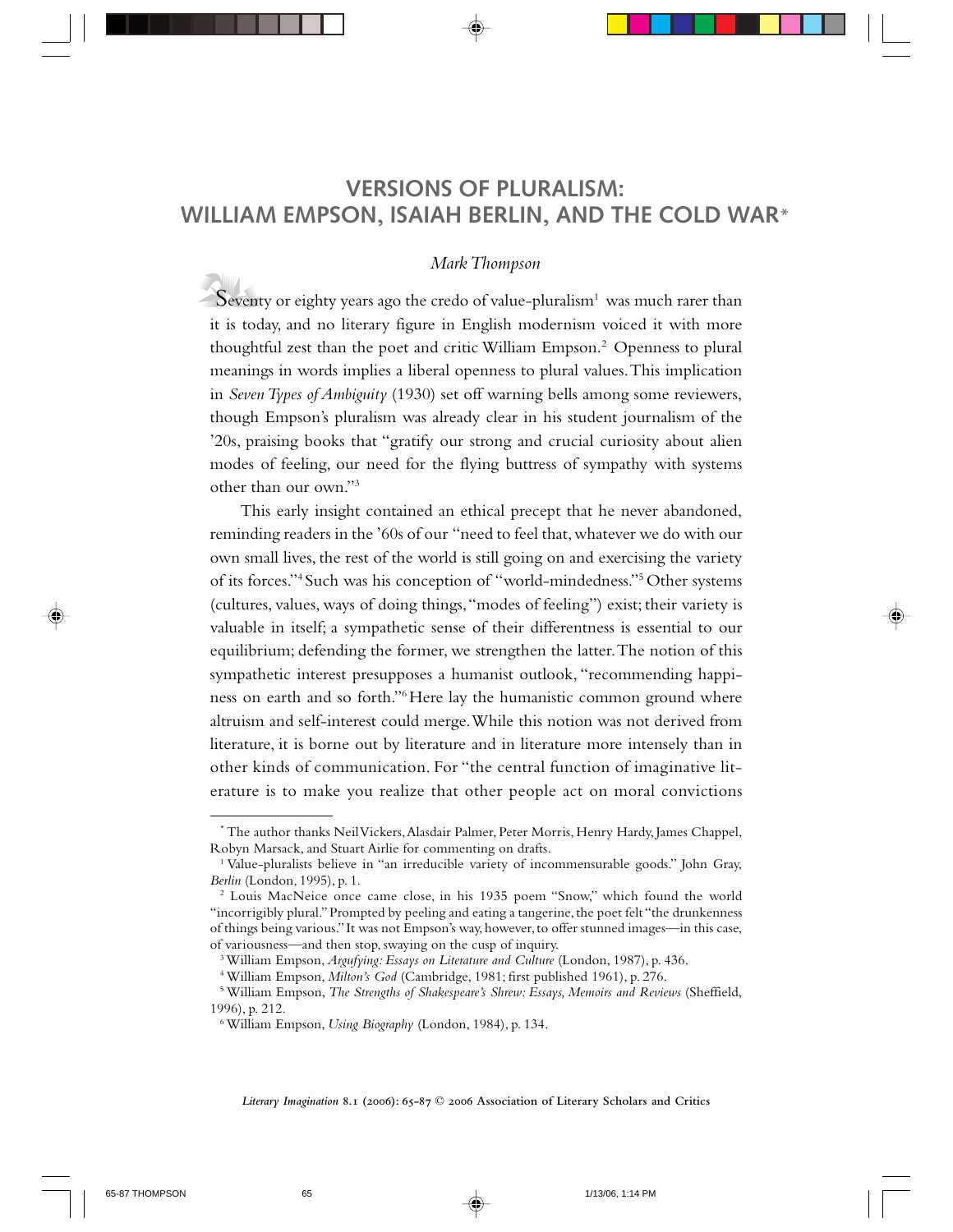# **VERSIONS OF PLURALISM: WILLIAM EMPSON, ISAIAH BERLIN, AND THE COLD WAR**\*

### *Mark Thompson*

Seven<br>it is to Seventy or eighty years ago the credo of value-pluralism<sup>1</sup> was much rarer than it is today, and no literary figure in English modernism voiced it with more thoughtful zest than the poet and critic William Empson.2 Openness to plural meanings in words implies a liberal openness to plural values. This implication in *Seven Types of Ambiguity* (1930) set off warning bells among some reviewers, though Empson's pluralism was already clear in his student journalism of the '20s, praising books that "gratify our strong and crucial curiosity about alien modes of feeling, our need for the flying buttress of sympathy with systems other than our own."3

This early insight contained an ethical precept that he never abandoned, reminding readers in the '60s of our "need to feel that, whatever we do with our own small lives, the rest of the world is still going on and exercising the variety of its forces."4 Such was his conception of "world-mindedness."5 Other systems (cultures, values, ways of doing things, "modes of feeling") exist; their variety is valuable in itself; a sympathetic sense of their differentness is essential to our equilibrium; defending the former, we strengthen the latter. The notion of this sympathetic interest presupposes a humanist outlook, "recommending happiness on earth and so forth."6Here lay the humanistic common ground where altruism and self-interest could merge. While this notion was not derived from literature, it is borne out by literature and in literature more intensely than in other kinds of communication. For "the central function of imaginative literature is to make you realize that other people act on moral convictions

<sup>\*</sup>The author thanks Neil Vickers, Alasdair Palmer, Peter Morris, Henry Hardy, James Chappel, Robyn Marsack, and Stuart Airlie for commenting on drafts.

<sup>1</sup> Value-pluralists believe in "an irreducible variety of incommensurable goods." John Gray, *Berlin* (London, 1995), p. 1.

<sup>2</sup> Louis MacNeice once came close, in his 1935 poem "Snow," which found the world "incorrigibly plural." Prompted by peeling and eating a tangerine, the poet felt "the drunkenness of things being various." It was not Empson's way, however, to offer stunned images—in this case, of variousness—and then stop, swaying on the cusp of inquiry.

<sup>3</sup> William Empson, *Argufying: Essays on Literature and Culture* (London, 1987), p. 436.

<sup>4</sup> William Empson, *Milton's God* (Cambridge, 1981; first published 1961), p. 276.

<sup>5</sup> William Empson, *The Strengths of Shakespeare's Shrew: Essays, Memoirs and Reviews* (Sheffield, 1996), p. 212.

<sup>6</sup> William Empson, *Using Biography* (London, 1984), p. 134.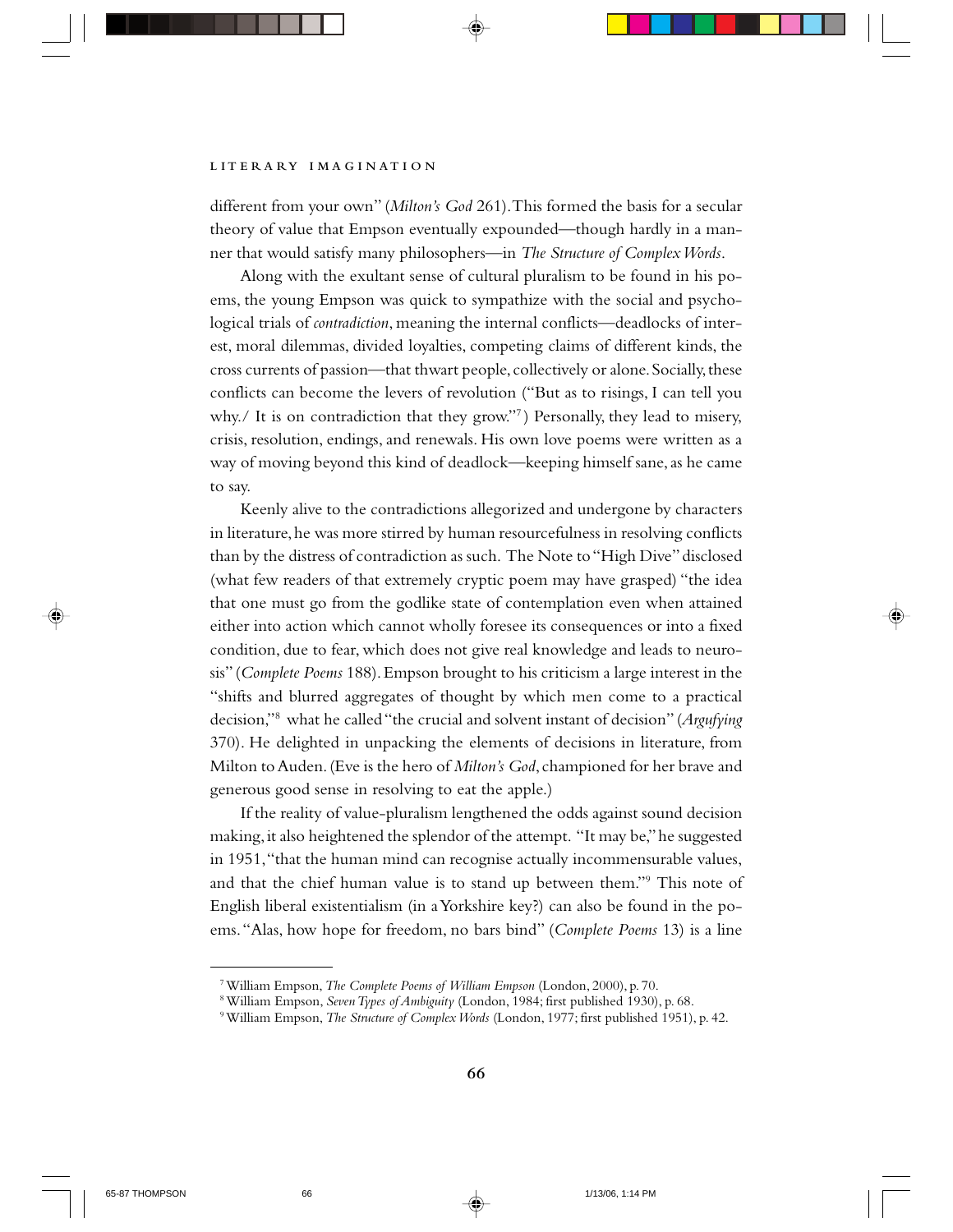different from your own" (*Milton's God* 261). This formed the basis for a secular theory of value that Empson eventually expounded—though hardly in a manner that would satisfy many philosophers—in *The Structure of Complex Words*.

Along with the exultant sense of cultural pluralism to be found in his poems, the young Empson was quick to sympathize with the social and psychological trials of *contradiction*, meaning the internal conflicts—deadlocks of interest, moral dilemmas, divided loyalties, competing claims of different kinds, the cross currents of passion—that thwart people, collectively or alone. Socially, these conflicts can become the levers of revolution ("But as to risings, I can tell you why./ It is on contradiction that they grow."<sup>7</sup>) Personally, they lead to misery, crisis, resolution, endings, and renewals. His own love poems were written as a way of moving beyond this kind of deadlock—keeping himself sane, as he came to say.

Keenly alive to the contradictions allegorized and undergone by characters in literature, he was more stirred by human resourcefulness in resolving conflicts than by the distress of contradiction as such. The Note to "High Dive" disclosed (what few readers of that extremely cryptic poem may have grasped) "the idea that one must go from the godlike state of contemplation even when attained either into action which cannot wholly foresee its consequences or into a fixed condition, due to fear, which does not give real knowledge and leads to neurosis" (*Complete Poems* 188). Empson brought to his criticism a large interest in the "shifts and blurred aggregates of thought by which men come to a practical decision,"8 what he called "the crucial and solvent instant of decision" (*Argufying* 370). He delighted in unpacking the elements of decisions in literature, from Milton to Auden. (Eve is the hero of *Milton's God*, championed for her brave and generous good sense in resolving to eat the apple.)

If the reality of value-pluralism lengthened the odds against sound decision making, it also heightened the splendor of the attempt. "It may be," he suggested in 1951, "that the human mind can recognise actually incommensurable values, and that the chief human value is to stand up between them."9 This note of English liberal existentialism (in a Yorkshire key?) can also be found in the poems. "Alas, how hope for freedom, no bars bind" (*Complete Poems* 13) is a line

<sup>7</sup> William Empson, *The Complete Poems of William Empson* (London, 2000), p. 70.

<sup>8</sup> William Empson, *Seven Types of Ambiguity* (London, 1984; first published 1930), p. 68.

<sup>9</sup> William Empson, *The Structure of Complex Words* (London, 1977; first published 1951), p. 42.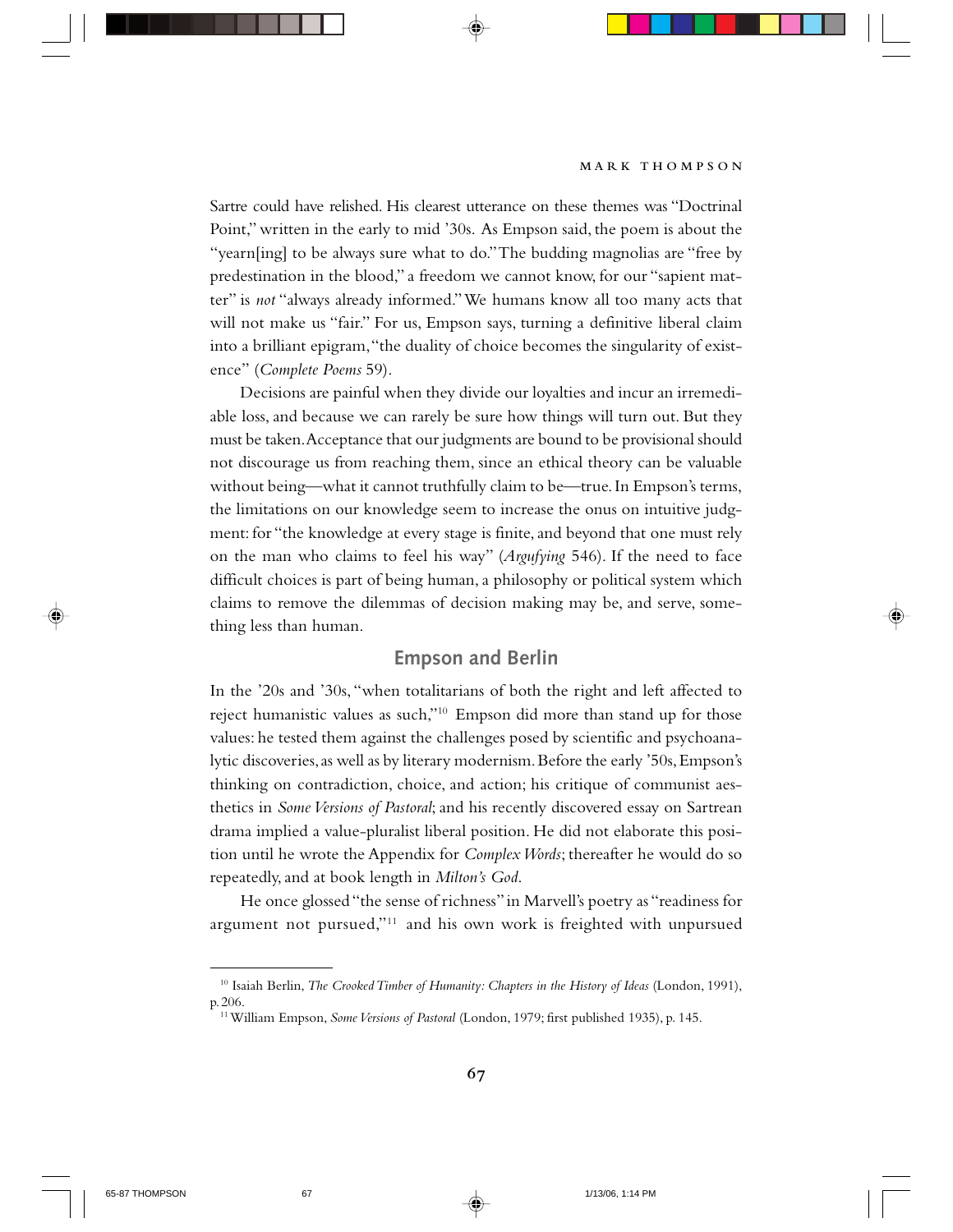Sartre could have relished. His clearest utterance on these themes was "Doctrinal Point," written in the early to mid '30s. As Empson said, the poem is about the "yearn[ing] to be always sure what to do." The budding magnolias are "free by predestination in the blood," a freedom we cannot know, for our "sapient matter" is *not* "always already informed." We humans know all too many acts that will not make us "fair." For us, Empson says, turning a definitive liberal claim into a brilliant epigram, "the duality of choice becomes the singularity of existence" (*Complete Poems* 59).

Decisions are painful when they divide our loyalties and incur an irremediable loss, and because we can rarely be sure how things will turn out. But they must be taken. Acceptance that our judgments are bound to be provisional should not discourage us from reaching them, since an ethical theory can be valuable without being—what it cannot truthfully claim to be—true. In Empson's terms, the limitations on our knowledge seem to increase the onus on intuitive judgment: for "the knowledge at every stage is finite, and beyond that one must rely on the man who claims to feel his way" (*Argufying* 546). If the need to face difficult choices is part of being human, a philosophy or political system which claims to remove the dilemmas of decision making may be, and serve, something less than human.

### **Empson and Berlin**

In the '20s and '30s, "when totalitarians of both the right and left affected to reject humanistic values as such,"10 Empson did more than stand up for those values: he tested them against the challenges posed by scientific and psychoanalytic discoveries, as well as by literary modernism. Before the early '50s, Empson's thinking on contradiction, choice, and action; his critique of communist aesthetics in *Some Versions of Pastoral*; and his recently discovered essay on Sartrean drama implied a value-pluralist liberal position. He did not elaborate this position until he wrote the Appendix for *Complex Words*; thereafter he would do so repeatedly, and at book length in *Milton's God*.

He once glossed "the sense of richness" in Marvell's poetry as "readiness for argument not pursued,"11 and his own work is freighted with unpursued

<sup>10</sup> Isaiah Berlin, *The Crooked Timber of Humanity: Chapters in the History of Ideas* (London, 1991), p. 206.

<sup>11</sup> William Empson, *Some Versions of Pastoral* (London, 1979; first published 1935), p. 145.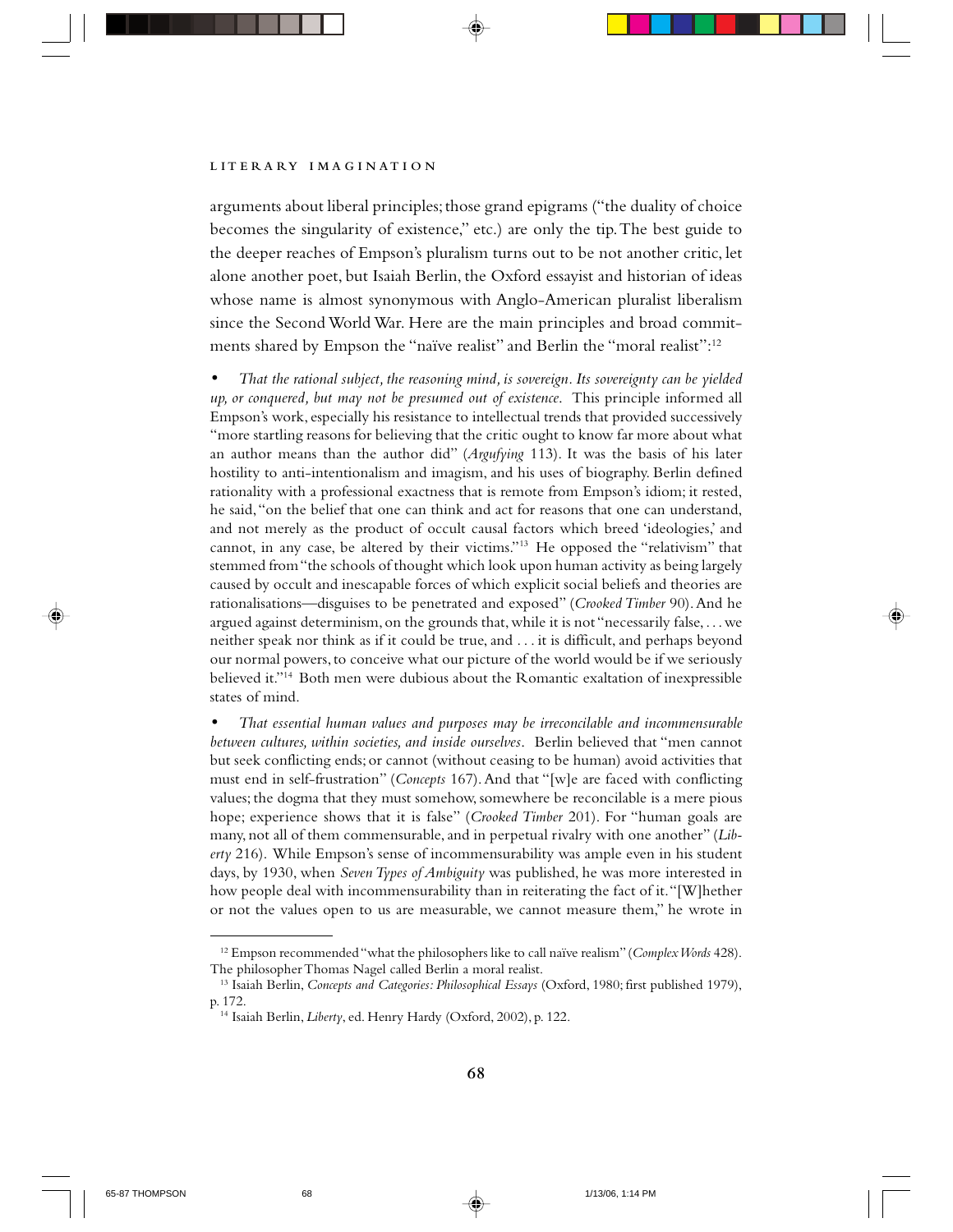arguments about liberal principles; those grand epigrams ("the duality of choice becomes the singularity of existence," etc.) are only the tip. The best guide to the deeper reaches of Empson's pluralism turns out to be not another critic, let alone another poet, but Isaiah Berlin, the Oxford essayist and historian of ideas whose name is almost synonymous with Anglo-American pluralist liberalism since the Second World War. Here are the main principles and broad commitments shared by Empson the "naïve realist" and Berlin the "moral realist":<sup>12</sup>

• *That the rational subject, the reasoning mind, is sovereign. Its sovereignty can be yielded up, or conquered, but may not be presumed out of existence*. This principle informed all Empson's work, especially his resistance to intellectual trends that provided successively "more startling reasons for believing that the critic ought to know far more about what an author means than the author did" (*Argufying* 113). It was the basis of his later hostility to anti-intentionalism and imagism, and his uses of biography. Berlin defined rationality with a professional exactness that is remote from Empson's idiom; it rested, he said, "on the belief that one can think and act for reasons that one can understand, and not merely as the product of occult causal factors which breed 'ideologies,' and cannot, in any case, be altered by their victims."13 He opposed the "relativism" that stemmed from "the schools of thought which look upon human activity as being largely caused by occult and inescapable forces of which explicit social beliefs and theories are rationalisations—disguises to be penetrated and exposed" (*Crooked Timber* 90). And he argued against determinism, on the grounds that, while it is not "necessarily false, . . . we neither speak nor think as if it could be true, and . . . it is difficult, and perhaps beyond our normal powers, to conceive what our picture of the world would be if we seriously believed it."14 Both men were dubious about the Romantic exaltation of inexpressible states of mind.

• *That essential human values and purposes may be irreconcilable and incommensurable between cultures, within societies, and inside ourselves*. Berlin believed that "men cannot but seek conflicting ends; or cannot (without ceasing to be human) avoid activities that must end in self-frustration" (*Concepts* 167). And that "[w]e are faced with conflicting values; the dogma that they must somehow, somewhere be reconcilable is a mere pious hope; experience shows that it is false" (*Crooked Timber* 201). For "human goals are many, not all of them commensurable, and in perpetual rivalry with one another" (*Liberty* 216). While Empson's sense of incommensurability was ample even in his student days, by 1930, when *Seven Types of Ambiguity* was published, he was more interested in how people deal with incommensurability than in reiterating the fact of it. "[W]hether or not the values open to us are measurable, we cannot measure them," he wrote in

<sup>12</sup> Empson recommended "what the philosophers like to call naïve realism" (*Complex Words* 428). The philosopher Thomas Nagel called Berlin a moral realist.

<sup>13</sup> Isaiah Berlin, *Concepts and Categories: Philosophical Essays* (Oxford, 1980; first published 1979), p. 172.

<sup>14</sup> Isaiah Berlin, *Liberty*, ed. Henry Hardy (Oxford, 2002), p. 122.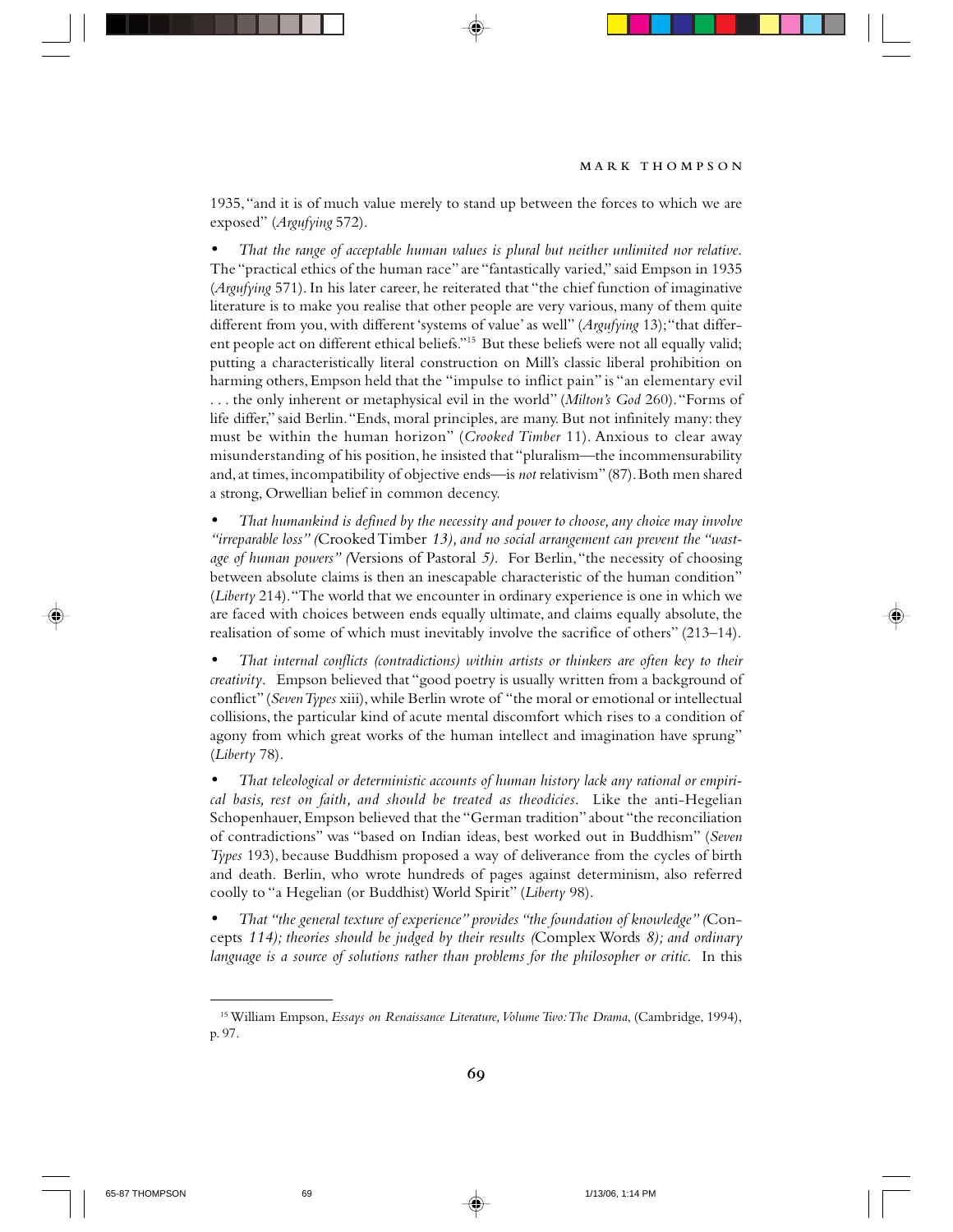1935, "and it is of much value merely to stand up between the forces to which we are exposed" (*Argufying* 572).

• *That the range of acceptable human values is plural but neither unlimited nor relative*. The "practical ethics of the human race" are "fantastically varied," said Empson in 1935 (*Argufying* 571). In his later career, he reiterated that "the chief function of imaginative literature is to make you realise that other people are very various, many of them quite different from you, with different 'systems of value' as well" (*Argufying* 13); "that different people act on different ethical beliefs."15 But these beliefs were not all equally valid; putting a characteristically literal construction on Mill's classic liberal prohibition on harming others, Empson held that the "impulse to inflict pain" is "an elementary evil . . . the only inherent or metaphysical evil in the world" (*Milton's God* 260). "Forms of life differ," said Berlin. "Ends, moral principles, are many. But not infinitely many: they must be within the human horizon" (*Crooked Timber* 11). Anxious to clear away misunderstanding of his position, he insisted that "pluralism—the incommensurability and, at times, incompatibility of objective ends—is *not* relativism" (87). Both men shared a strong, Orwellian belief in common decency.

• *That humankind is defined by the necessity and power to choose, any choice may involve "irreparable loss" (*Crooked Timber *13), and no social arrangement can prevent the "wastage of human powers" (*Versions of Pastoral *5).* For Berlin, "the necessity of choosing between absolute claims is then an inescapable characteristic of the human condition" (*Liberty* 214). "The world that we encounter in ordinary experience is one in which we are faced with choices between ends equally ultimate, and claims equally absolute, the realisation of some of which must inevitably involve the sacrifice of others" (213–14).

• *That internal conflicts (contradictions) within artists or thinkers are often key to their creativity*. Empson believed that "good poetry is usually written from a background of conflict" (*Seven Types* xiii), while Berlin wrote of "the moral or emotional or intellectual collisions, the particular kind of acute mental discomfort which rises to a condition of agony from which great works of the human intellect and imagination have sprung" (*Liberty* 78).

• *That teleological or deterministic accounts of human history lack any rational or empirical basis, rest on faith, and should be treated as theodicies*. Like the anti-Hegelian Schopenhauer, Empson believed that the "German tradition" about "the reconciliation of contradictions" was "based on Indian ideas, best worked out in Buddhism" (*Seven Types* 193), because Buddhism proposed a way of deliverance from the cycles of birth and death. Berlin, who wrote hundreds of pages against determinism, also referred coolly to "a Hegelian (or Buddhist) World Spirit" (*Liberty* 98).

• *That "the general texture of experience" provides "the foundation of knowledge" (*Concepts *114); theories should be judged by their results (*Complex Words *8); and ordinary language is a source of solutions rather than problems for the philosopher or critic*. In this

<sup>15</sup> William Empson, *Essays on Renaissance Literature, Volume Two: The Drama*, (Cambridge, 1994), p. 97.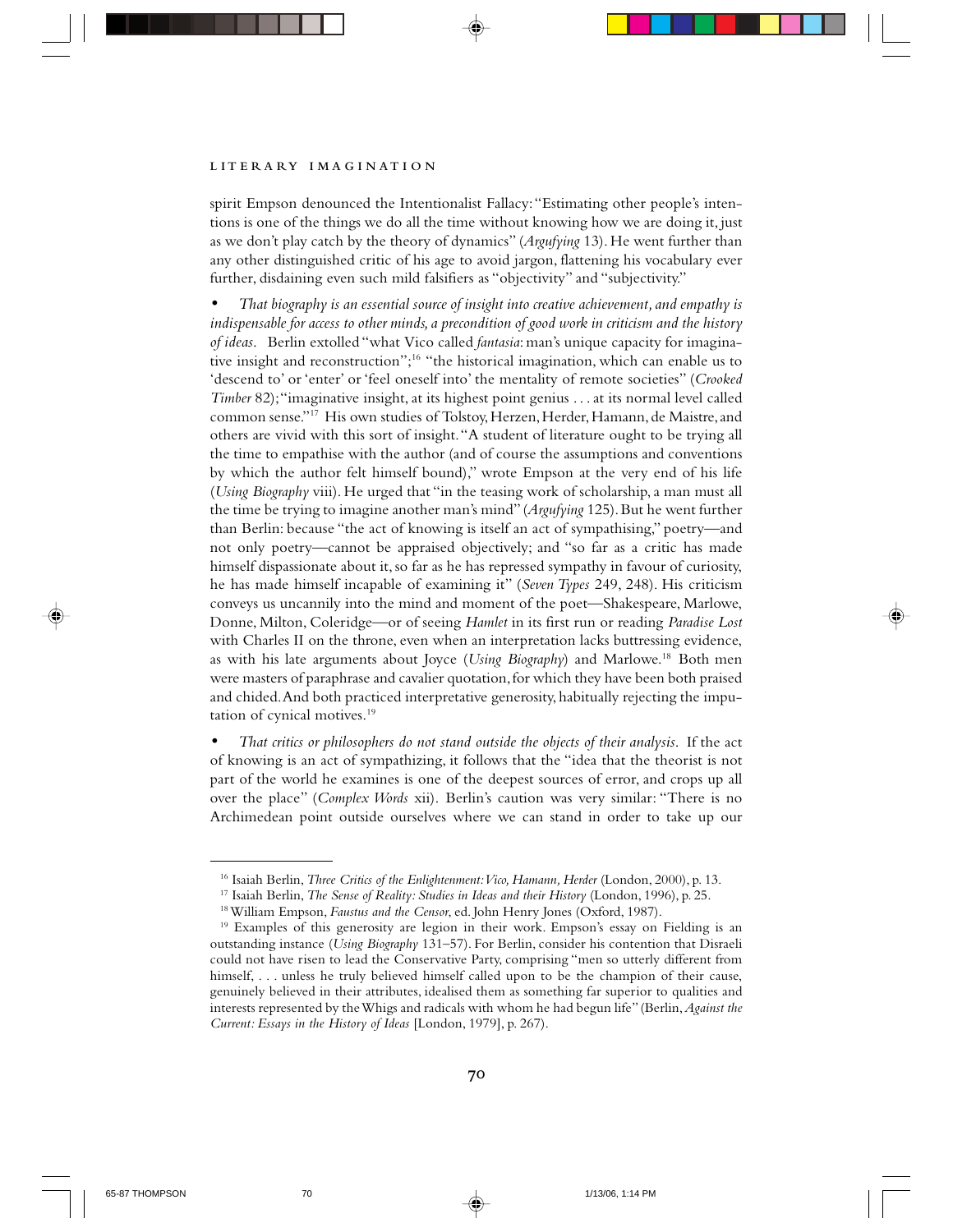spirit Empson denounced the Intentionalist Fallacy: "Estimating other people's intentions is one of the things we do all the time without knowing how we are doing it, just as we don't play catch by the theory of dynamics" (*Argufying* 13). He went further than any other distinguished critic of his age to avoid jargon, flattening his vocabulary ever further, disdaining even such mild falsifiers as "objectivity" and "subjectivity."

• *That biography is an essential source of insight into creative achievement, and empathy is indispensable for access to other minds, a precondition of good work in criticism and the history of ideas*. Berlin extolled "what Vico called *fantasia*: man's unique capacity for imaginative insight and reconstruction";16 "the historical imagination, which can enable us to 'descend to' or 'enter' or 'feel oneself into' the mentality of remote societies" (*Crooked Timber* 82); "imaginative insight, at its highest point genius . . . at its normal level called common sense."17 His own studies of Tolstoy, Herzen, Herder, Hamann, de Maistre, and others are vivid with this sort of insight. "A student of literature ought to be trying all the time to empathise with the author (and of course the assumptions and conventions by which the author felt himself bound)," wrote Empson at the very end of his life (*Using Biography* viii). He urged that "in the teasing work of scholarship, a man must all the time be trying to imagine another man's mind" (*Argufying* 125). But he went further than Berlin: because "the act of knowing is itself an act of sympathising," poetry—and not only poetry—cannot be appraised objectively; and "so far as a critic has made himself dispassionate about it, so far as he has repressed sympathy in favour of curiosity, he has made himself incapable of examining it" (*Seven Types* 249, 248). His criticism conveys us uncannily into the mind and moment of the poet—Shakespeare, Marlowe, Donne, Milton, Coleridge—or of seeing *Hamlet* in its first run or reading *Paradise Lost* with Charles II on the throne, even when an interpretation lacks buttressing evidence, as with his late arguments about Joyce (*Using Biography*) and Marlowe.18 Both men were masters of paraphrase and cavalier quotation, for which they have been both praised and chided. And both practiced interpretative generosity, habitually rejecting the imputation of cynical motives.<sup>19</sup>

• *That critics or philosophers do not stand outside the objects of their analysis*. If the act of knowing is an act of sympathizing, it follows that the "idea that the theorist is not part of the world he examines is one of the deepest sources of error, and crops up all over the place" (*Complex Words* xii). Berlin's caution was very similar: "There is no Archimedean point outside ourselves where we can stand in order to take up our

<sup>16</sup> Isaiah Berlin, *Three Critics of the Enlightenment: Vico, Hamann, Herder* (London, 2000), p. 13.

<sup>&</sup>lt;sup>17</sup> Isaiah Berlin, *The Sense of Reality: Studies in Ideas and their History (London, 1996), p. 25.* 

<sup>18</sup> William Empson, *Faustus and the Censor*, ed. John Henry Jones (Oxford, 1987).

<sup>19</sup> Examples of this generosity are legion in their work. Empson's essay on Fielding is an outstanding instance (*Using Biography* 131–57). For Berlin, consider his contention that Disraeli could not have risen to lead the Conservative Party, comprising "men so utterly different from himself, . . . unless he truly believed himself called upon to be the champion of their cause, genuinely believed in their attributes, idealised them as something far superior to qualities and interests represented by the Whigs and radicals with whom he had begun life" (Berlin, *Against the Current: Essays in the History of Ideas* [London, 1979], p. 267).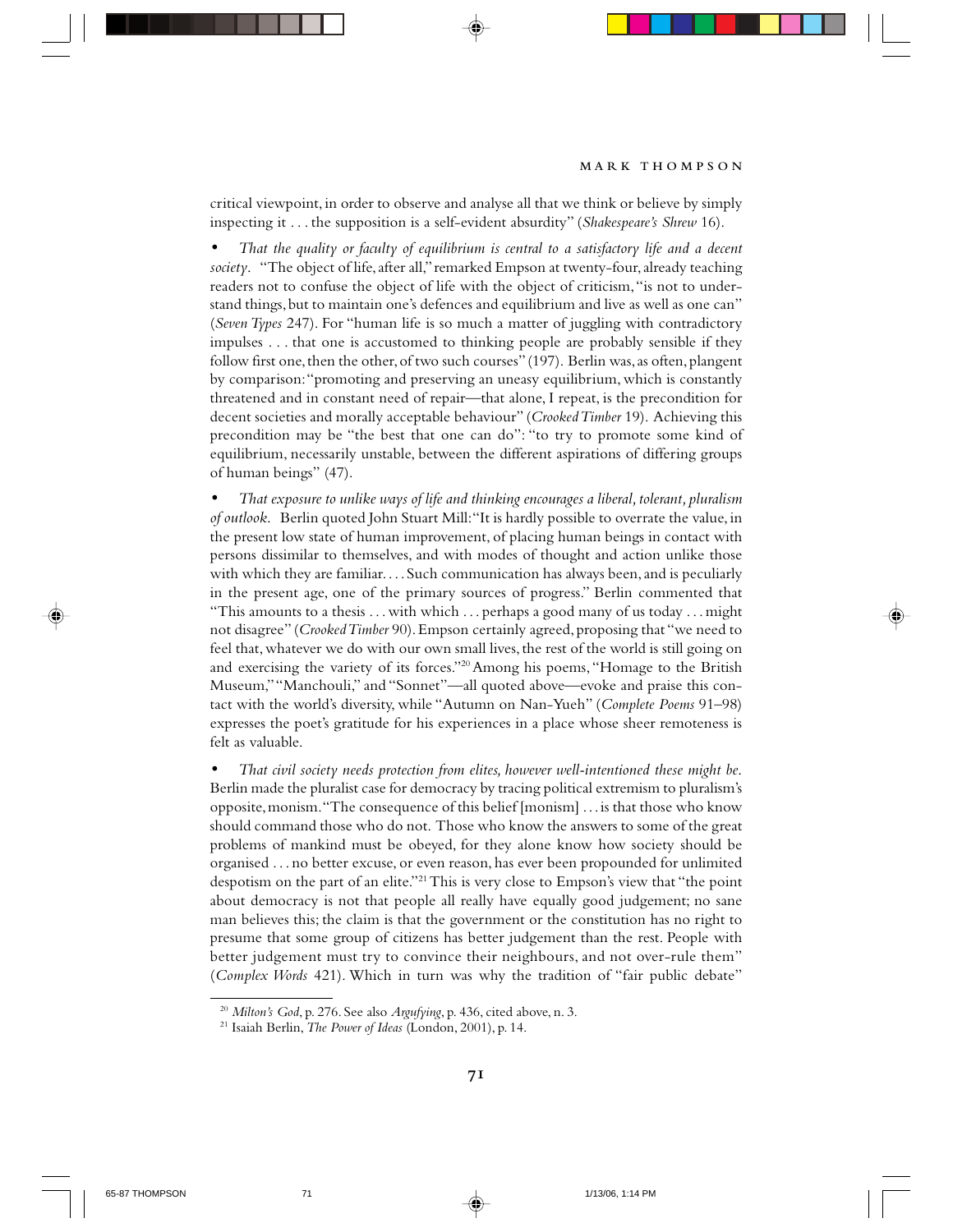critical viewpoint, in order to observe and analyse all that we think or believe by simply inspecting it . . . the supposition is a self-evident absurdity" (*Shakespeare's Shrew* 16).

• *That the quality or faculty of equilibrium is central to a satisfactory life and a decent society*. "The object of life, after all," remarked Empson at twenty-four, already teaching readers not to confuse the object of life with the object of criticism, "is not to understand things, but to maintain one's defences and equilibrium and live as well as one can" (*Seven Types* 247). For "human life is so much a matter of juggling with contradictory impulses . . . that one is accustomed to thinking people are probably sensible if they follow first one, then the other, of two such courses" (197). Berlin was, as often, plangent by comparison: "promoting and preserving an uneasy equilibrium, which is constantly threatened and in constant need of repair—that alone, I repeat, is the precondition for decent societies and morally acceptable behaviour" (*Crooked Timber* 19). Achieving this precondition may be "the best that one can do": "to try to promote some kind of equilibrium, necessarily unstable, between the different aspirations of differing groups of human beings" (47).

• *That exposure to unlike ways of life and thinking encourages a liberal, tolerant, pluralism of outlook*. Berlin quoted John Stuart Mill: "It is hardly possible to overrate the value, in the present low state of human improvement, of placing human beings in contact with persons dissimilar to themselves, and with modes of thought and action unlike those with which they are familiar. . . . Such communication has always been, and is peculiarly in the present age, one of the primary sources of progress." Berlin commented that "This amounts to a thesis . . . with which . . . perhaps a good many of us today . . . might not disagree" (*Crooked Timber* 90). Empson certainly agreed, proposing that "we need to feel that, whatever we do with our own small lives, the rest of the world is still going on and exercising the variety of its forces."20Among his poems, "Homage to the British Museum," "Manchouli," and "Sonnet"—all quoted above—evoke and praise this contact with the world's diversity, while "Autumn on Nan-Yueh" (*Complete Poems* 91–98) expresses the poet's gratitude for his experiences in a place whose sheer remoteness is felt as valuable.

• *That civil society needs protection from elites, however well-intentioned these might be*. Berlin made the pluralist case for democracy by tracing political extremism to pluralism's opposite, monism. "The consequence of this belief [monism] . . . is that those who know should command those who do not. Those who know the answers to some of the great problems of mankind must be obeyed, for they alone know how society should be organised . . . no better excuse, or even reason, has ever been propounded for unlimited despotism on the part of an elite."21This is very close to Empson's view that "the point about democracy is not that people all really have equally good judgement; no sane man believes this; the claim is that the government or the constitution has no right to presume that some group of citizens has better judgement than the rest. People with better judgement must try to convince their neighbours, and not over-rule them" (*Complex Words* 421). Which in turn was why the tradition of "fair public debate"

<sup>20</sup> *Milton's God*, p. 276. See also *Argufying*, p. 436, cited above, n. 3.

<sup>21</sup> Isaiah Berlin, *The Power of Ideas* (London, 2001), p. 14.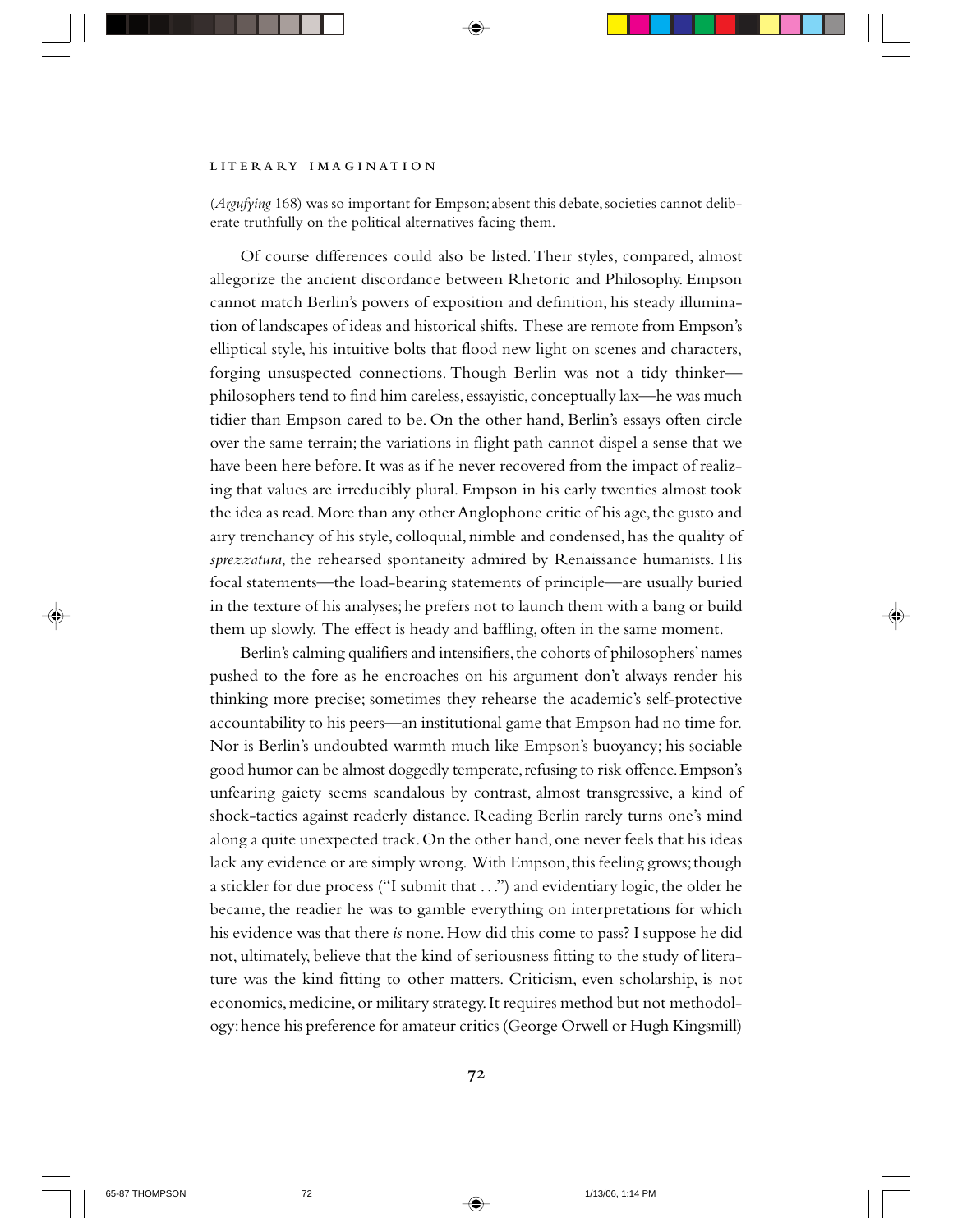(*Argufying* 168) was so important for Empson; absent this debate, societies cannot deliberate truthfully on the political alternatives facing them.

Of course differences could also be listed. Their styles, compared, almost allegorize the ancient discordance between Rhetoric and Philosophy. Empson cannot match Berlin's powers of exposition and definition, his steady illumination of landscapes of ideas and historical shifts. These are remote from Empson's elliptical style, his intuitive bolts that flood new light on scenes and characters, forging unsuspected connections. Though Berlin was not a tidy thinker philosophers tend to find him careless, essayistic, conceptually lax—he was much tidier than Empson cared to be. On the other hand, Berlin's essays often circle over the same terrain; the variations in flight path cannot dispel a sense that we have been here before. It was as if he never recovered from the impact of realizing that values are irreducibly plural. Empson in his early twenties almost took the idea as read. More than any other Anglophone critic of his age, the gusto and airy trenchancy of his style, colloquial, nimble and condensed, has the quality of *sprezzatura*, the rehearsed spontaneity admired by Renaissance humanists. His focal statements—the load-bearing statements of principle—are usually buried in the texture of his analyses; he prefers not to launch them with a bang or build them up slowly. The effect is heady and baffling, often in the same moment.

Berlin's calming qualifiers and intensifiers, the cohorts of philosophers' names pushed to the fore as he encroaches on his argument don't always render his thinking more precise; sometimes they rehearse the academic's self-protective accountability to his peers—an institutional game that Empson had no time for. Nor is Berlin's undoubted warmth much like Empson's buoyancy; his sociable good humor can be almost doggedly temperate, refusing to risk offence. Empson's unfearing gaiety seems scandalous by contrast, almost transgressive, a kind of shock-tactics against readerly distance. Reading Berlin rarely turns one's mind along a quite unexpected track. On the other hand, one never feels that his ideas lack any evidence or are simply wrong. With Empson, this feeling grows; though a stickler for due process ("I submit that . . .") and evidentiary logic, the older he became, the readier he was to gamble everything on interpretations for which his evidence was that there *is* none. How did this come to pass? I suppose he did not, ultimately, believe that the kind of seriousness fitting to the study of literature was the kind fitting to other matters. Criticism, even scholarship, is not economics, medicine, or military strategy. It requires method but not methodology: hence his preference for amateur critics (George Orwell or Hugh Kingsmill)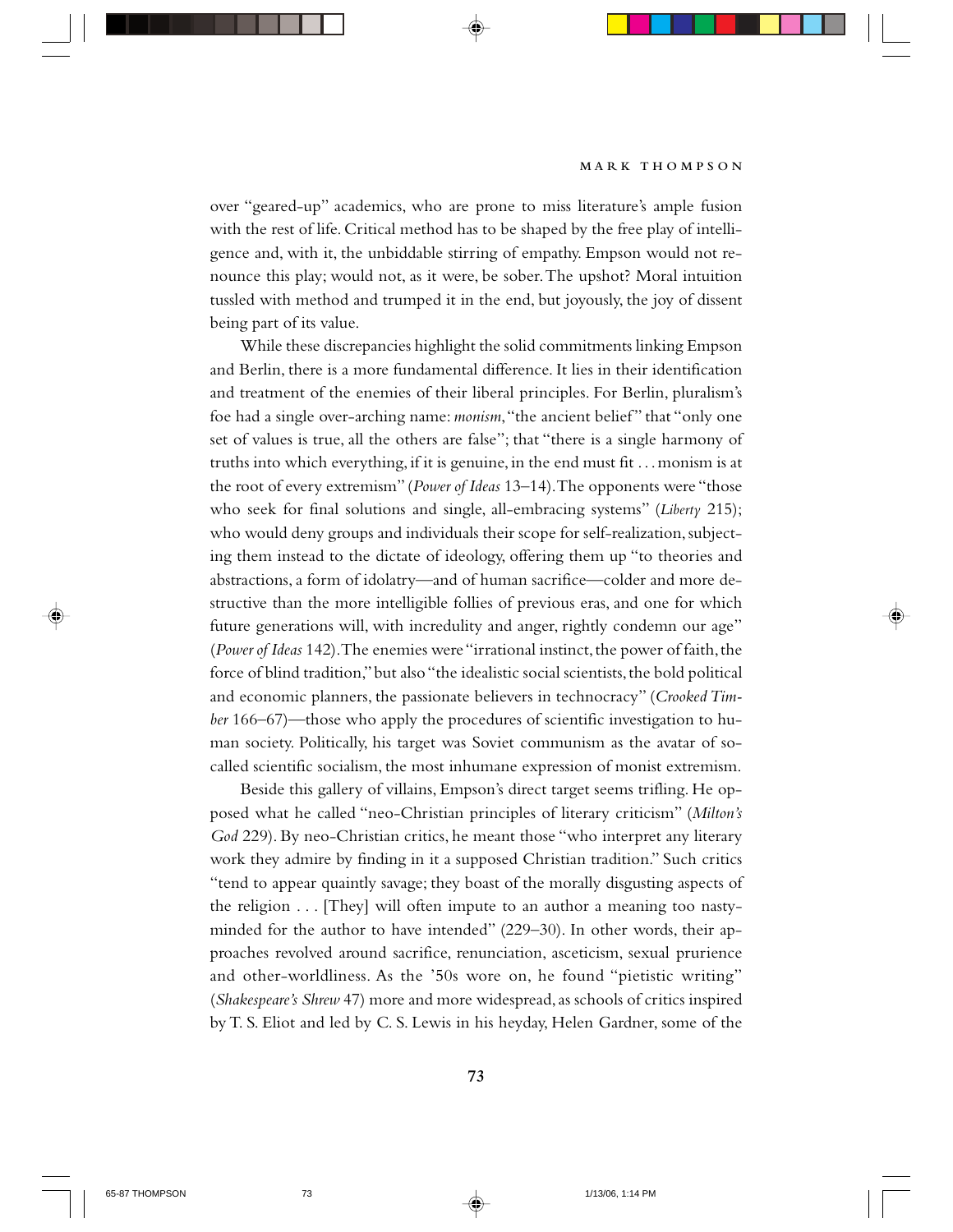over "geared-up" academics, who are prone to miss literature's ample fusion with the rest of life. Critical method has to be shaped by the free play of intelligence and, with it, the unbiddable stirring of empathy. Empson would not renounce this play; would not, as it were, be sober. The upshot? Moral intuition tussled with method and trumped it in the end, but joyously, the joy of dissent being part of its value.

While these discrepancies highlight the solid commitments linking Empson and Berlin, there is a more fundamental difference. It lies in their identification and treatment of the enemies of their liberal principles. For Berlin, pluralism's foe had a single over-arching name: *monism*, "the ancient belief" that "only one set of values is true, all the others are false"; that "there is a single harmony of truths into which everything, if it is genuine, in the end must fit . . . monism is at the root of every extremism" (*Power of Ideas* 13–14). The opponents were "those who seek for final solutions and single, all-embracing systems" (*Liberty* 215); who would deny groups and individuals their scope for self-realization, subjecting them instead to the dictate of ideology, offering them up "to theories and abstractions, a form of idolatry—and of human sacrifice—colder and more destructive than the more intelligible follies of previous eras, and one for which future generations will, with incredulity and anger, rightly condemn our age" (*Power of Ideas* 142). The enemies were "irrational instinct, the power of faith, the force of blind tradition," but also "the idealistic social scientists, the bold political and economic planners, the passionate believers in technocracy" (*Crooked Timber* 166–67)—those who apply the procedures of scientific investigation to human society. Politically, his target was Soviet communism as the avatar of socalled scientific socialism, the most inhumane expression of monist extremism.

Beside this gallery of villains, Empson's direct target seems trifling. He opposed what he called "neo-Christian principles of literary criticism" (*Milton's God* 229). By neo-Christian critics, he meant those "who interpret any literary work they admire by finding in it a supposed Christian tradition." Such critics "tend to appear quaintly savage; they boast of the morally disgusting aspects of the religion . . . [They] will often impute to an author a meaning too nastyminded for the author to have intended" (229–30). In other words, their approaches revolved around sacrifice, renunciation, asceticism, sexual prurience and other-worldliness. As the '50s wore on, he found "pietistic writing" (*Shakespeare's Shrew* 47) more and more widespread, as schools of critics inspired by T. S. Eliot and led by C. S. Lewis in his heyday, Helen Gardner, some of the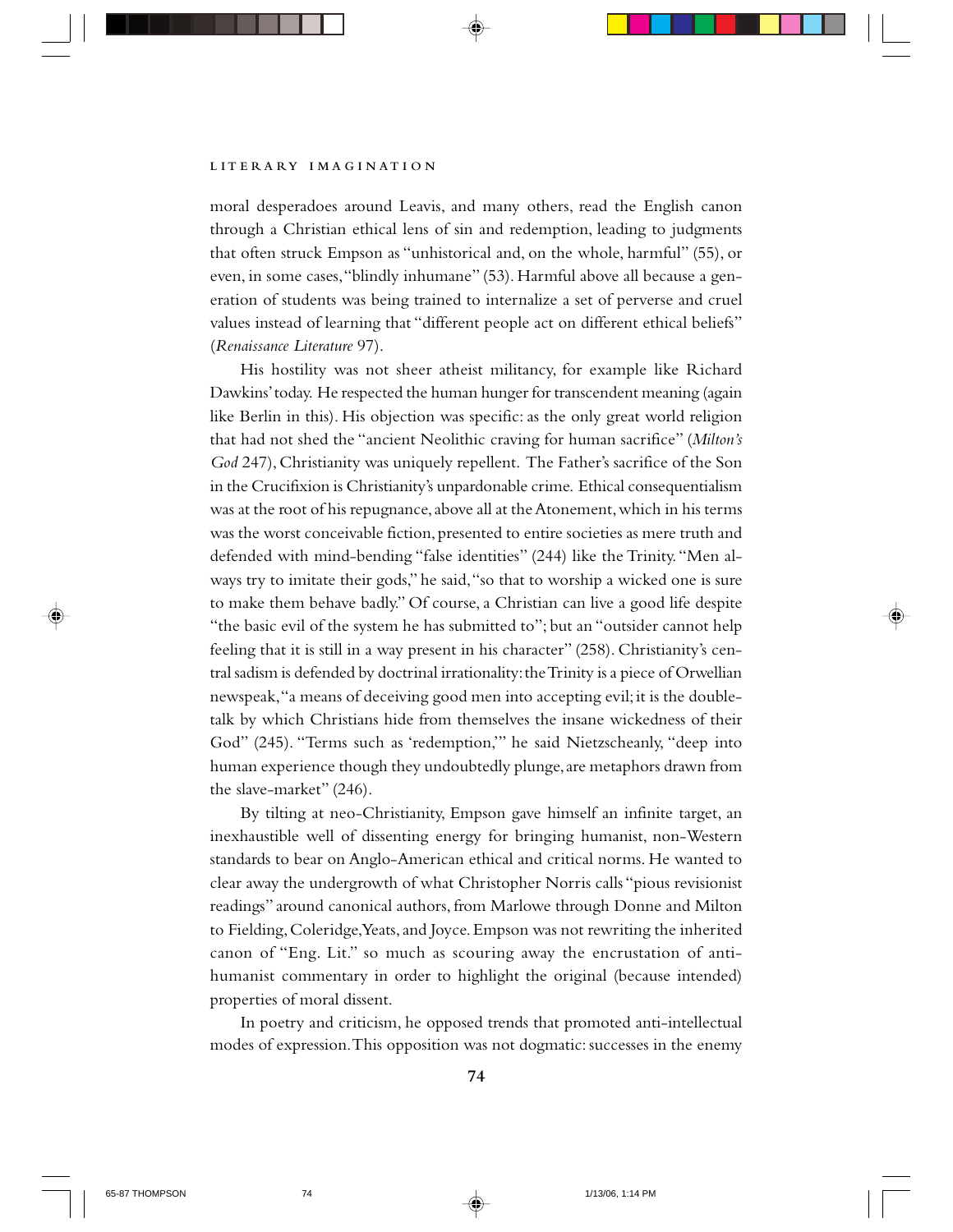moral desperadoes around Leavis, and many others, read the English canon through a Christian ethical lens of sin and redemption, leading to judgments that often struck Empson as "unhistorical and, on the whole, harmful" (55), or even, in some cases, "blindly inhumane" (53). Harmful above all because a generation of students was being trained to internalize a set of perverse and cruel values instead of learning that "different people act on different ethical beliefs" (*Renaissance Literature* 97).

His hostility was not sheer atheist militancy, for example like Richard Dawkins' today. He respected the human hunger for transcendent meaning (again like Berlin in this). His objection was specific: as the only great world religion that had not shed the "ancient Neolithic craving for human sacrifice" (*Milton's God* 247), Christianity was uniquely repellent. The Father's sacrifice of the Son in the Crucifixion is Christianity's unpardonable crime. Ethical consequentialism was at the root of his repugnance, above all at the Atonement, which in his terms was the worst conceivable fiction, presented to entire societies as mere truth and defended with mind-bending "false identities" (244) like the Trinity. "Men always try to imitate their gods," he said, "so that to worship a wicked one is sure to make them behave badly." Of course, a Christian can live a good life despite "the basic evil of the system he has submitted to"; but an "outsider cannot help feeling that it is still in a way present in his character" (258). Christianity's central sadism is defended by doctrinal irrationality: the Trinity is a piece of Orwellian newspeak, "a means of deceiving good men into accepting evil; it is the doubletalk by which Christians hide from themselves the insane wickedness of their God" (245). "Terms such as 'redemption,'" he said Nietzscheanly, "deep into human experience though they undoubtedly plunge, are metaphors drawn from the slave-market" (246).

By tilting at neo-Christianity, Empson gave himself an infinite target, an inexhaustible well of dissenting energy for bringing humanist, non-Western standards to bear on Anglo-American ethical and critical norms. He wanted to clear away the undergrowth of what Christopher Norris calls "pious revisionist readings" around canonical authors, from Marlowe through Donne and Milton to Fielding, Coleridge, Yeats, and Joyce. Empson was not rewriting the inherited canon of "Eng. Lit." so much as scouring away the encrustation of antihumanist commentary in order to highlight the original (because intended) properties of moral dissent.

In poetry and criticism, he opposed trends that promoted anti-intellectual modes of expression. This opposition was not dogmatic: successes in the enemy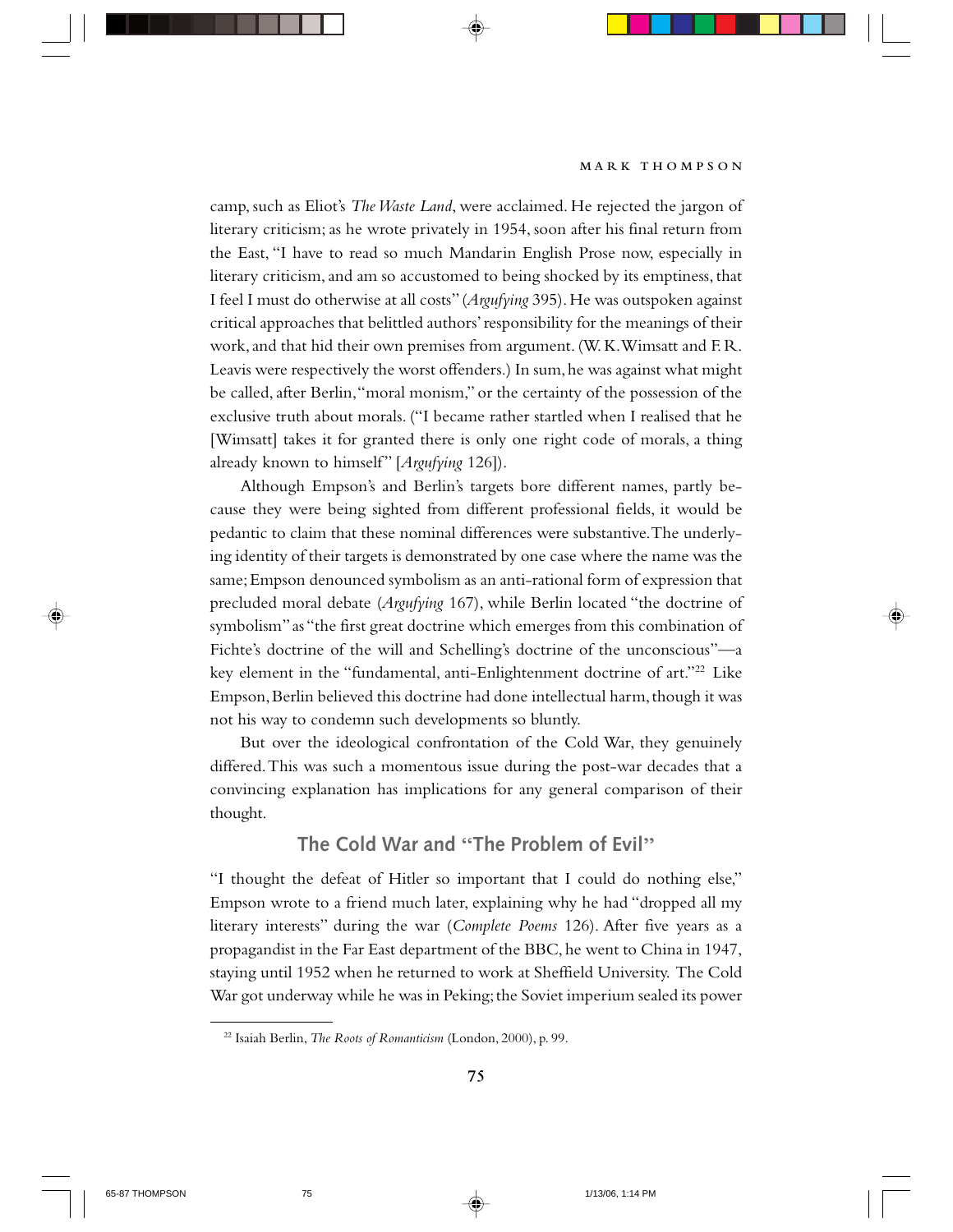camp, such as Eliot's *The Waste Land*, were acclaimed. He rejected the jargon of literary criticism; as he wrote privately in 1954, soon after his final return from the East, "I have to read so much Mandarin English Prose now, especially in literary criticism, and am so accustomed to being shocked by its emptiness, that I feel I must do otherwise at all costs" (*Argufying* 395). He was outspoken against critical approaches that belittled authors' responsibility for the meanings of their work, and that hid their own premises from argument. (W. K. Wimsatt and F. R. Leavis were respectively the worst offenders.) In sum, he was against what might be called, after Berlin, "moral monism," or the certainty of the possession of the exclusive truth about morals. ("I became rather startled when I realised that he [Wimsatt] takes it for granted there is only one right code of morals, a thing already known to himself" [*Argufying* 126]).

Although Empson's and Berlin's targets bore different names, partly because they were being sighted from different professional fields, it would be pedantic to claim that these nominal differences were substantive. The underlying identity of their targets is demonstrated by one case where the name was the same; Empson denounced symbolism as an anti-rational form of expression that precluded moral debate (*Argufying* 167), while Berlin located "the doctrine of symbolism" as "the first great doctrine which emerges from this combination of Fichte's doctrine of the will and Schelling's doctrine of the unconscious"—a key element in the "fundamental, anti-Enlightenment doctrine of art."<sup>22</sup> Like Empson, Berlin believed this doctrine had done intellectual harm, though it was not his way to condemn such developments so bluntly.

But over the ideological confrontation of the Cold War, they genuinely differed. This was such a momentous issue during the post-war decades that a convincing explanation has implications for any general comparison of their thought.

### **The Cold War and "The Problem of Evil"**

"I thought the defeat of Hitler so important that I could do nothing else," Empson wrote to a friend much later, explaining why he had "dropped all my literary interests" during the war (*Complete Poems* 126). After five years as a propagandist in the Far East department of the BBC, he went to China in 1947, staying until 1952 when he returned to work at Sheffield University. The Cold War got underway while he was in Peking; the Soviet imperium sealed its power

<sup>22</sup> Isaiah Berlin, *The Roots of Romanticism* (London, 2000), p. 99.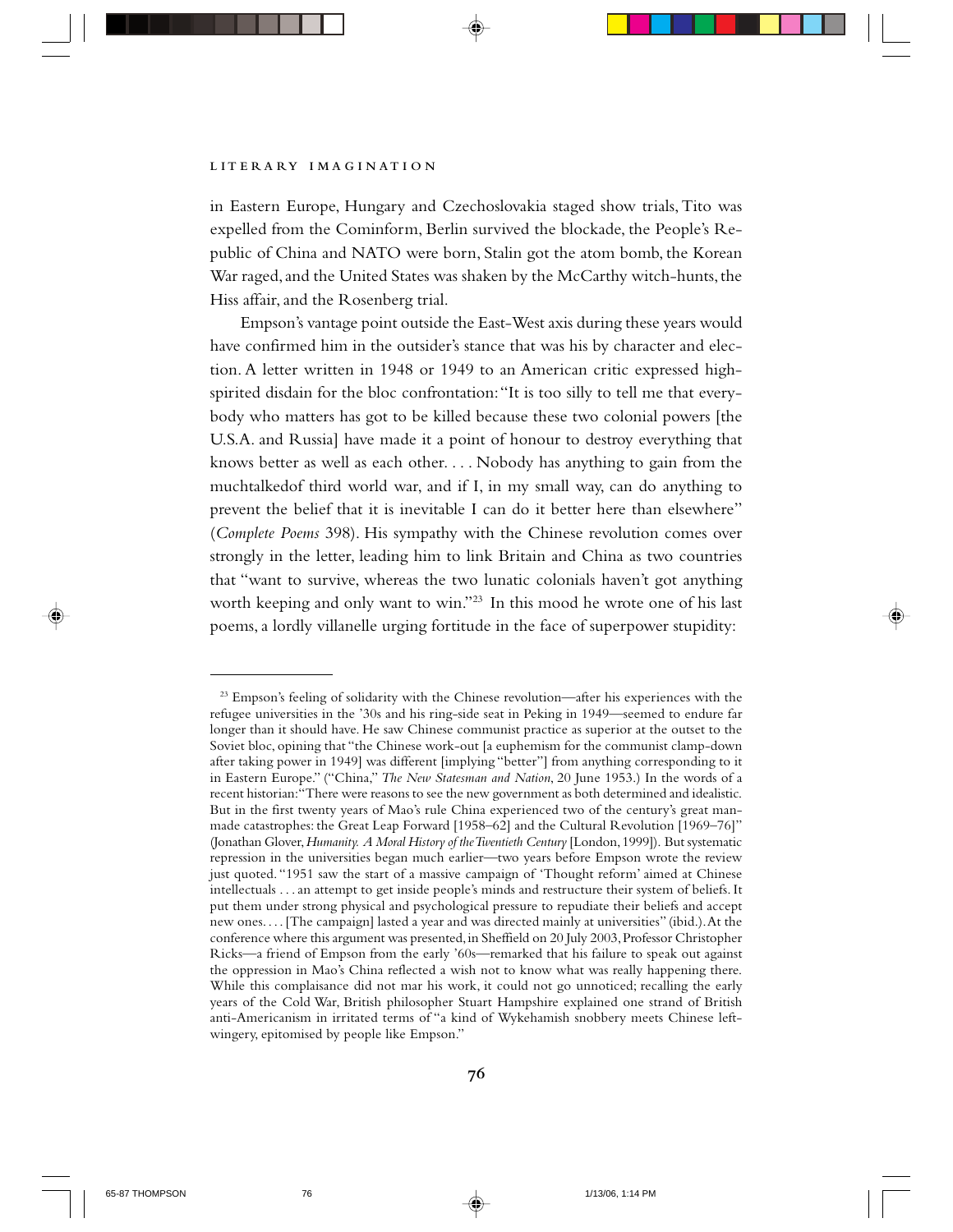in Eastern Europe, Hungary and Czechoslovakia staged show trials, Tito was expelled from the Cominform, Berlin survived the blockade, the People's Republic of China and NATO were born, Stalin got the atom bomb, the Korean War raged, and the United States was shaken by the McCarthy witch-hunts, the Hiss affair, and the Rosenberg trial.

Empson's vantage point outside the East-West axis during these years would have confirmed him in the outsider's stance that was his by character and election. A letter written in 1948 or 1949 to an American critic expressed highspirited disdain for the bloc confrontation: "It is too silly to tell me that everybody who matters has got to be killed because these two colonial powers [the U.S.A. and Russia] have made it a point of honour to destroy everything that knows better as well as each other. . . . Nobody has anything to gain from the muchtalkedof third world war, and if I, in my small way, can do anything to prevent the belief that it is inevitable I can do it better here than elsewhere" (*Complete Poems* 398). His sympathy with the Chinese revolution comes over strongly in the letter, leading him to link Britain and China as two countries that "want to survive, whereas the two lunatic colonials haven't got anything worth keeping and only want to win."23 In this mood he wrote one of his last poems, a lordly villanelle urging fortitude in the face of superpower stupidity:

<sup>&</sup>lt;sup>23</sup> Empson's feeling of solidarity with the Chinese revolution—after his experiences with the refugee universities in the '30s and his ring-side seat in Peking in 1949—seemed to endure far longer than it should have. He saw Chinese communist practice as superior at the outset to the Soviet bloc, opining that "the Chinese work-out [a euphemism for the communist clamp-down after taking power in 1949] was different [implying "better"] from anything corresponding to it in Eastern Europe." ("China," *The New Statesman and Nation*, 20 June 1953.) In the words of a recent historian: "There were reasons to see the new government as both determined and idealistic. But in the first twenty years of Mao's rule China experienced two of the century's great manmade catastrophes: the Great Leap Forward [1958–62] and the Cultural Revolution [1969–76]" (Jonathan Glover, *Humanity. A Moral History of the Twentieth Century* [London, 1999]). But systematic repression in the universities began much earlier—two years before Empson wrote the review just quoted. "1951 saw the start of a massive campaign of 'Thought reform' aimed at Chinese intellectuals . . . an attempt to get inside people's minds and restructure their system of beliefs. It put them under strong physical and psychological pressure to repudiate their beliefs and accept new ones. . . . [The campaign] lasted a year and was directed mainly at universities" (ibid.). At the conference where this argument was presented, in Sheffield on 20 July 2003, Professor Christopher Ricks—a friend of Empson from the early '60s—remarked that his failure to speak out against the oppression in Mao's China reflected a wish not to know what was really happening there. While this complaisance did not mar his work, it could not go unnoticed; recalling the early years of the Cold War, British philosopher Stuart Hampshire explained one strand of British anti-Americanism in irritated terms of "a kind of Wykehamish snobbery meets Chinese leftwingery, epitomised by people like Empson."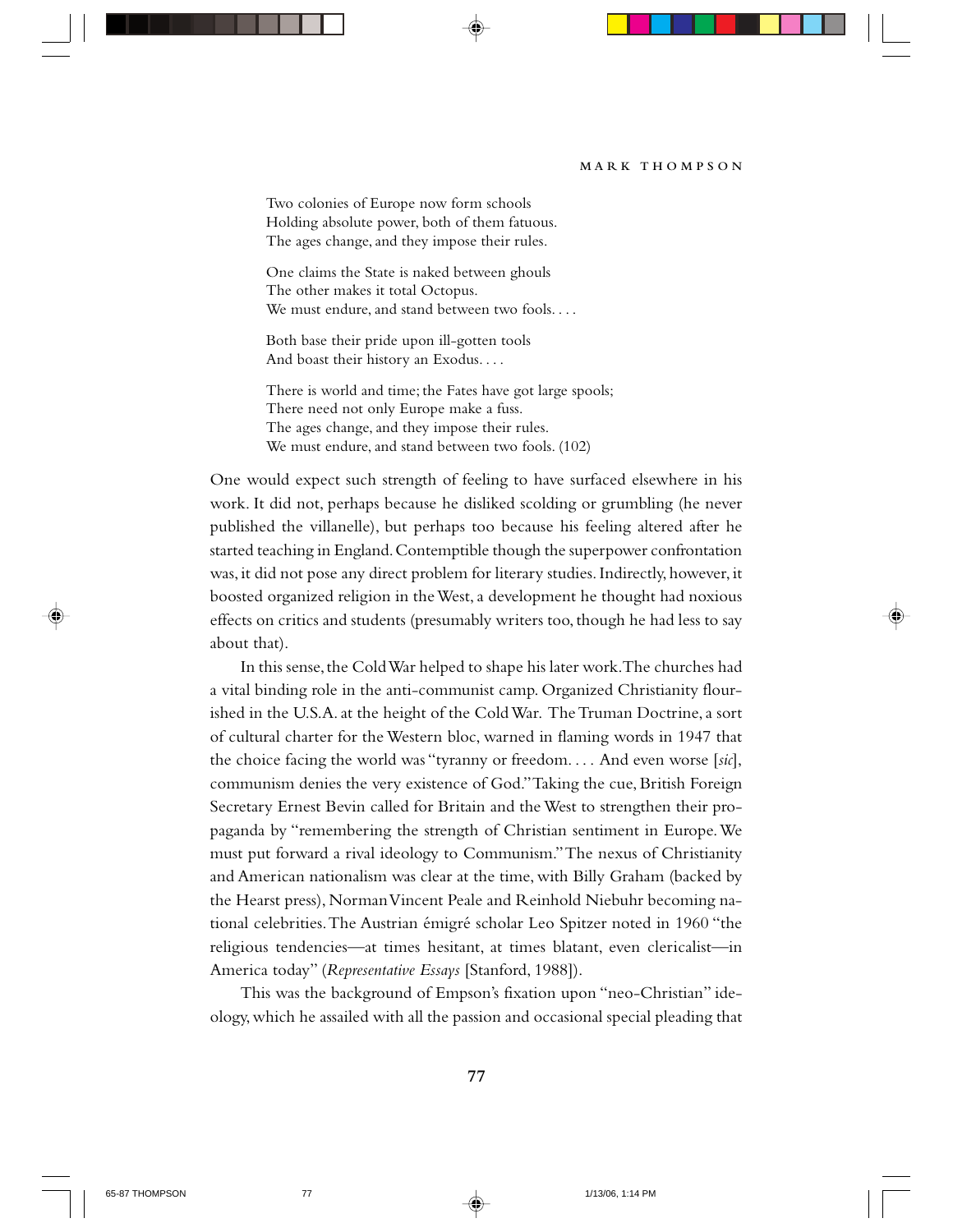Two colonies of Europe now form schools Holding absolute power, both of them fatuous. The ages change, and they impose their rules.

One claims the State is naked between ghouls The other makes it total Octopus. We must endure, and stand between two fools....

Both base their pride upon ill-gotten tools And boast their history an Exodus. . . .

There is world and time; the Fates have got large spools; There need not only Europe make a fuss. The ages change, and they impose their rules. We must endure, and stand between two fools. (102)

One would expect such strength of feeling to have surfaced elsewhere in his work. It did not, perhaps because he disliked scolding or grumbling (he never published the villanelle), but perhaps too because his feeling altered after he started teaching in England. Contemptible though the superpower confrontation was, it did not pose any direct problem for literary studies. Indirectly, however, it boosted organized religion in the West, a development he thought had noxious effects on critics and students (presumably writers too, though he had less to say about that).

In this sense, the Cold War helped to shape his later work. The churches had a vital binding role in the anti-communist camp. Organized Christianity flourished in the U.S.A. at the height of the Cold War. The Truman Doctrine, a sort of cultural charter for the Western bloc, warned in flaming words in 1947 that the choice facing the world was "tyranny or freedom. . . . And even worse [*sic*], communism denies the very existence of God." Taking the cue, British Foreign Secretary Ernest Bevin called for Britain and the West to strengthen their propaganda by "remembering the strength of Christian sentiment in Europe. We must put forward a rival ideology to Communism." The nexus of Christianity and American nationalism was clear at the time, with Billy Graham (backed by the Hearst press), Norman Vincent Peale and Reinhold Niebuhr becoming national celebrities. The Austrian émigré scholar Leo Spitzer noted in 1960 "the religious tendencies—at times hesitant, at times blatant, even clericalist—in America today" (*Representative Essays* [Stanford, 1988]).

This was the background of Empson's fixation upon "neo-Christian" ideology, which he assailed with all the passion and occasional special pleading that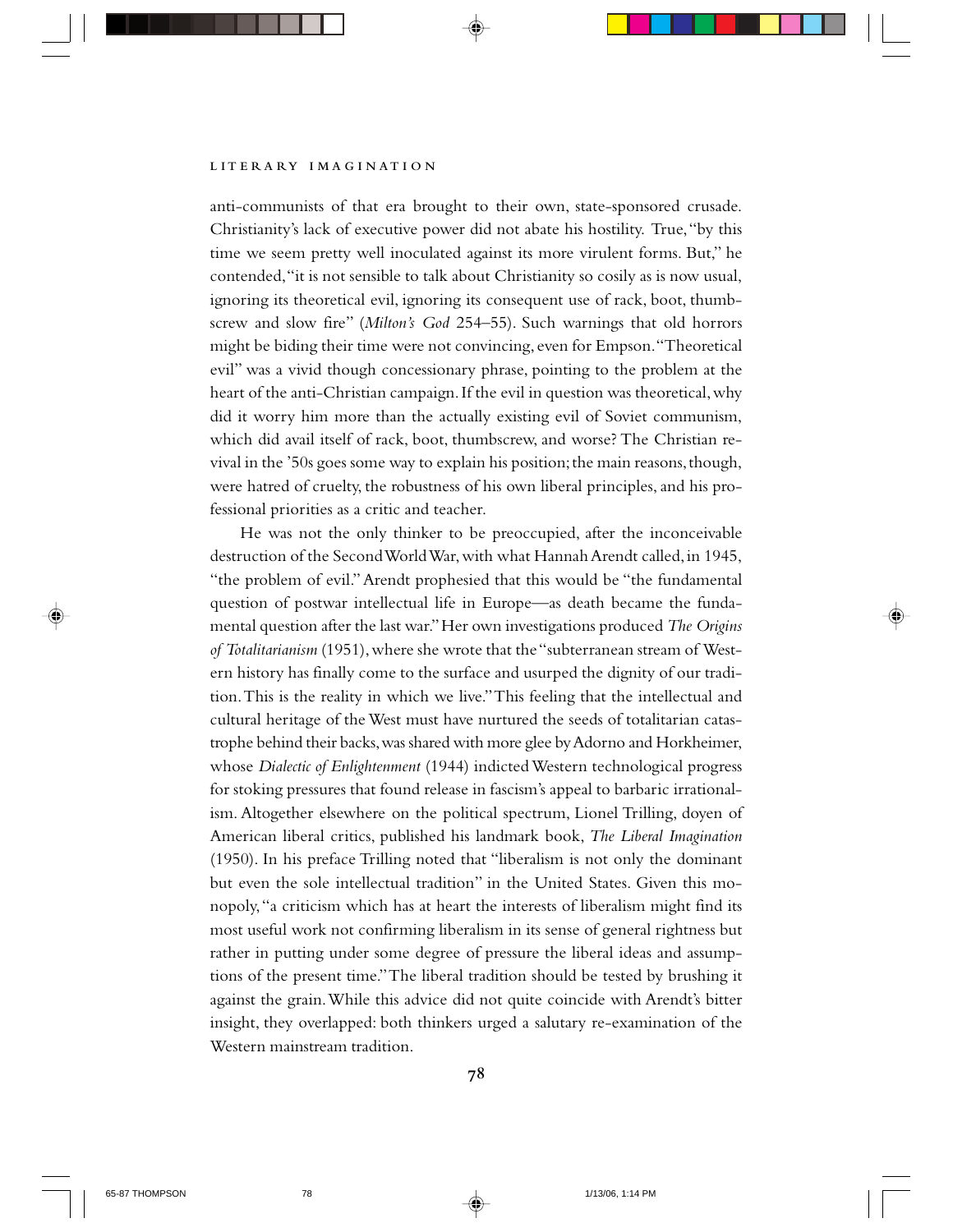anti-communists of that era brought to their own, state-sponsored crusade. Christianity's lack of executive power did not abate his hostility. True, "by this time we seem pretty well inoculated against its more virulent forms. But," he contended, "it is not sensible to talk about Christianity so cosily as is now usual, ignoring its theoretical evil, ignoring its consequent use of rack, boot, thumbscrew and slow fire" (*Milton's God* 254–55). Such warnings that old horrors might be biding their time were not convincing, even for Empson. "Theoretical evil" was a vivid though concessionary phrase, pointing to the problem at the heart of the anti-Christian campaign. If the evil in question was theoretical, why did it worry him more than the actually existing evil of Soviet communism, which did avail itself of rack, boot, thumbscrew, and worse? The Christian revival in the '50s goes some way to explain his position; the main reasons, though, were hatred of cruelty, the robustness of his own liberal principles, and his professional priorities as a critic and teacher.

He was not the only thinker to be preoccupied, after the inconceivable destruction of the Second World War, with what Hannah Arendt called, in 1945, "the problem of evil." Arendt prophesied that this would be "the fundamental question of postwar intellectual life in Europe—as death became the fundamental question after the last war." Her own investigations produced *The Origins of Totalitarianism* (1951), where she wrote that the "subterranean stream of Western history has finally come to the surface and usurped the dignity of our tradition. This is the reality in which we live." This feeling that the intellectual and cultural heritage of the West must have nurtured the seeds of totalitarian catastrophe behind their backs, was shared with more glee by Adorno and Horkheimer, whose *Dialectic of Enlightenment* (1944) indicted Western technological progress for stoking pressures that found release in fascism's appeal to barbaric irrationalism. Altogether elsewhere on the political spectrum, Lionel Trilling, doyen of American liberal critics, published his landmark book, *The Liberal Imagination* (1950). In his preface Trilling noted that "liberalism is not only the dominant but even the sole intellectual tradition" in the United States. Given this monopoly, "a criticism which has at heart the interests of liberalism might find its most useful work not confirming liberalism in its sense of general rightness but rather in putting under some degree of pressure the liberal ideas and assumptions of the present time." The liberal tradition should be tested by brushing it against the grain. While this advice did not quite coincide with Arendt's bitter insight, they overlapped: both thinkers urged a salutary re-examination of the Western mainstream tradition.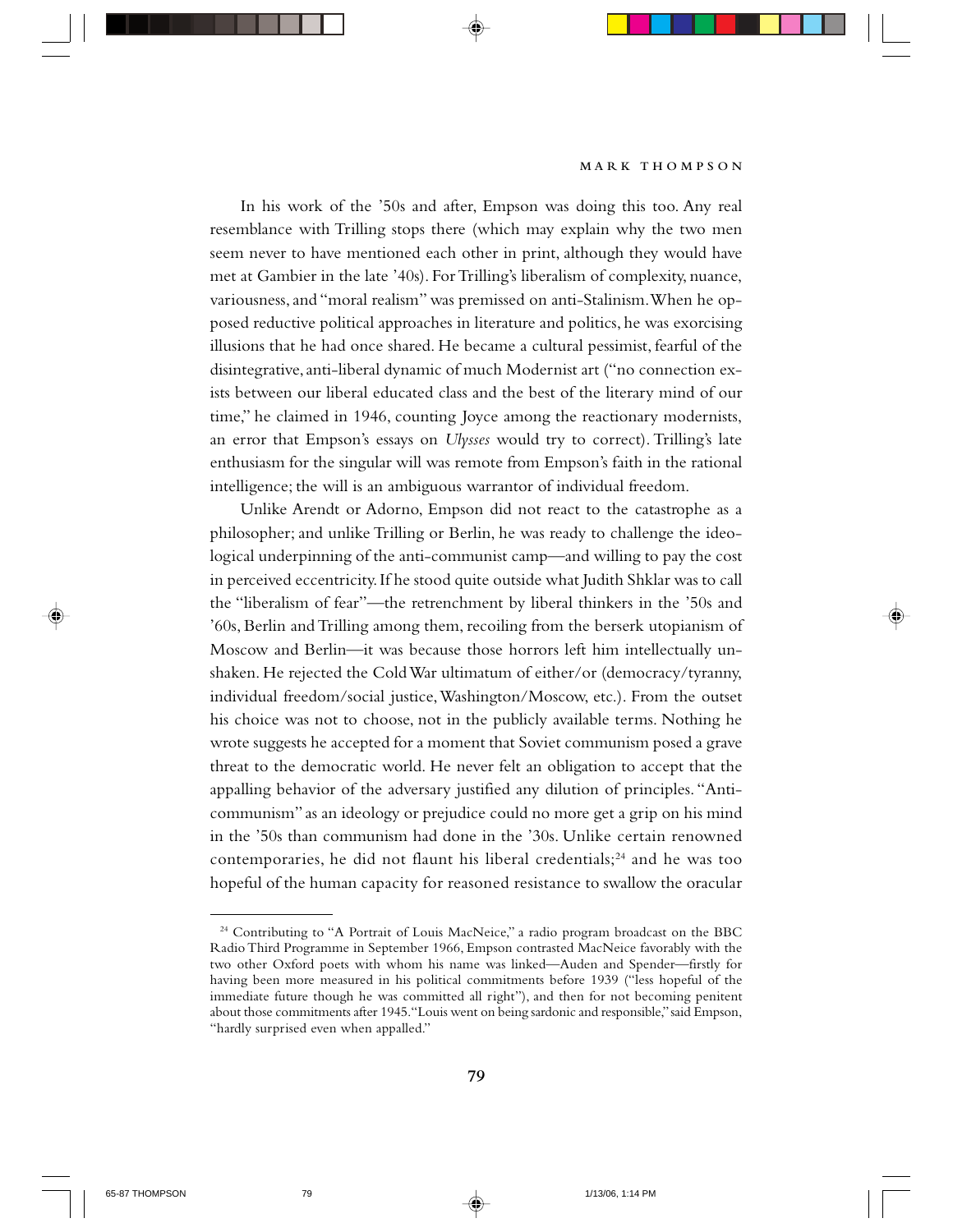In his work of the '50s and after, Empson was doing this too. Any real resemblance with Trilling stops there (which may explain why the two men seem never to have mentioned each other in print, although they would have met at Gambier in the late '40s). For Trilling's liberalism of complexity, nuance, variousness, and "moral realism" was premissed on anti-Stalinism. When he opposed reductive political approaches in literature and politics, he was exorcising illusions that he had once shared. He became a cultural pessimist, fearful of the disintegrative, anti-liberal dynamic of much Modernist art ("no connection exists between our liberal educated class and the best of the literary mind of our time," he claimed in 1946, counting Joyce among the reactionary modernists, an error that Empson's essays on *Ulysses* would try to correct). Trilling's late enthusiasm for the singular will was remote from Empson's faith in the rational intelligence; the will is an ambiguous warrantor of individual freedom.

Unlike Arendt or Adorno, Empson did not react to the catastrophe as a philosopher; and unlike Trilling or Berlin, he was ready to challenge the ideological underpinning of the anti-communist camp—and willing to pay the cost in perceived eccentricity. If he stood quite outside what Judith Shklar was to call the "liberalism of fear"—the retrenchment by liberal thinkers in the '50s and '60s, Berlin and Trilling among them, recoiling from the berserk utopianism of Moscow and Berlin—it was because those horrors left him intellectually unshaken. He rejected the Cold War ultimatum of either/or (democracy/tyranny, individual freedom/social justice, Washington/Moscow, etc.). From the outset his choice was not to choose, not in the publicly available terms. Nothing he wrote suggests he accepted for a moment that Soviet communism posed a grave threat to the democratic world. He never felt an obligation to accept that the appalling behavior of the adversary justified any dilution of principles. "Anticommunism" as an ideology or prejudice could no more get a grip on his mind in the '50s than communism had done in the '30s. Unlike certain renowned contemporaries, he did not flaunt his liberal credentials; $^{24}$  and he was too hopeful of the human capacity for reasoned resistance to swallow the oracular

<sup>24</sup> Contributing to "A Portrait of Louis MacNeice," a radio program broadcast on the BBC Radio Third Programme in September 1966, Empson contrasted MacNeice favorably with the two other Oxford poets with whom his name was linked—Auden and Spender—firstly for having been more measured in his political commitments before 1939 ("less hopeful of the immediate future though he was committed all right"), and then for not becoming penitent about those commitments after 1945. "Louis went on being sardonic and responsible," said Empson, "hardly surprised even when appalled."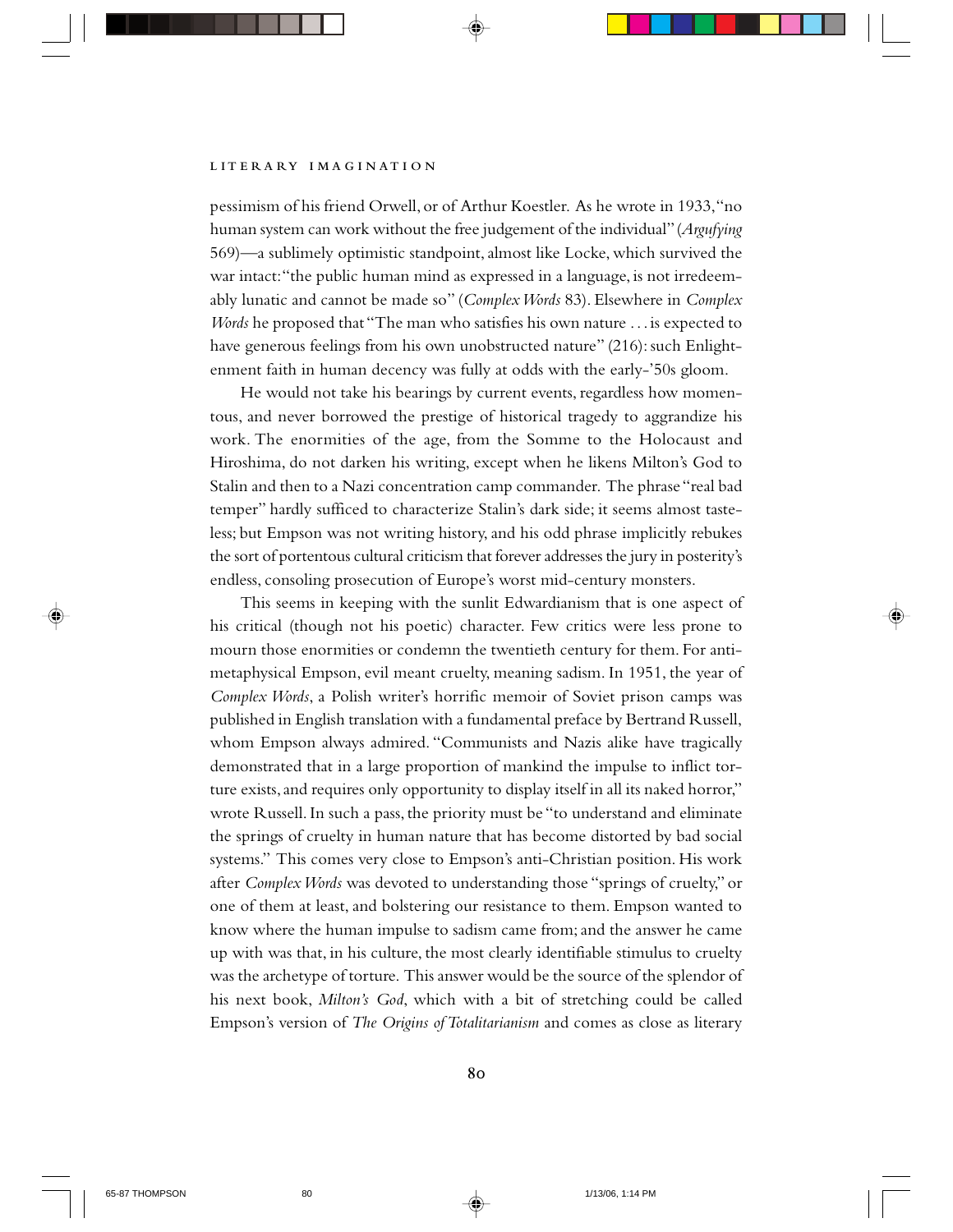pessimism of his friend Orwell, or of Arthur Koestler. As he wrote in 1933, "no human system can work without the free judgement of the individual" (*Argufying* 569)—a sublimely optimistic standpoint, almost like Locke, which survived the war intact: "the public human mind as expressed in a language, is not irredeemably lunatic and cannot be made so" (*Complex Words* 83). Elsewhere in *Complex Words* he proposed that "The man who satisfies his own nature . . . is expected to have generous feelings from his own unobstructed nature" (216): such Enlightenment faith in human decency was fully at odds with the early-'50s gloom.

He would not take his bearings by current events, regardless how momentous, and never borrowed the prestige of historical tragedy to aggrandize his work. The enormities of the age, from the Somme to the Holocaust and Hiroshima, do not darken his writing, except when he likens Milton's God to Stalin and then to a Nazi concentration camp commander. The phrase "real bad temper" hardly sufficed to characterize Stalin's dark side; it seems almost tasteless; but Empson was not writing history, and his odd phrase implicitly rebukes the sort of portentous cultural criticism that forever addresses the jury in posterity's endless, consoling prosecution of Europe's worst mid-century monsters.

This seems in keeping with the sunlit Edwardianism that is one aspect of his critical (though not his poetic) character. Few critics were less prone to mourn those enormities or condemn the twentieth century for them. For antimetaphysical Empson, evil meant cruelty, meaning sadism. In 1951, the year of *Complex Words*, a Polish writer's horrific memoir of Soviet prison camps was published in English translation with a fundamental preface by Bertrand Russell, whom Empson always admired. "Communists and Nazis alike have tragically demonstrated that in a large proportion of mankind the impulse to inflict torture exists, and requires only opportunity to display itself in all its naked horror," wrote Russell. In such a pass, the priority must be "to understand and eliminate the springs of cruelty in human nature that has become distorted by bad social systems." This comes very close to Empson's anti-Christian position. His work after *Complex Words* was devoted to understanding those "springs of cruelty," or one of them at least, and bolstering our resistance to them. Empson wanted to know where the human impulse to sadism came from; and the answer he came up with was that, in his culture, the most clearly identifiable stimulus to cruelty was the archetype of torture. This answer would be the source of the splendor of his next book, *Milton's God*, which with a bit of stretching could be called Empson's version of *The Origins of Totalitarianism* and comes as close as literary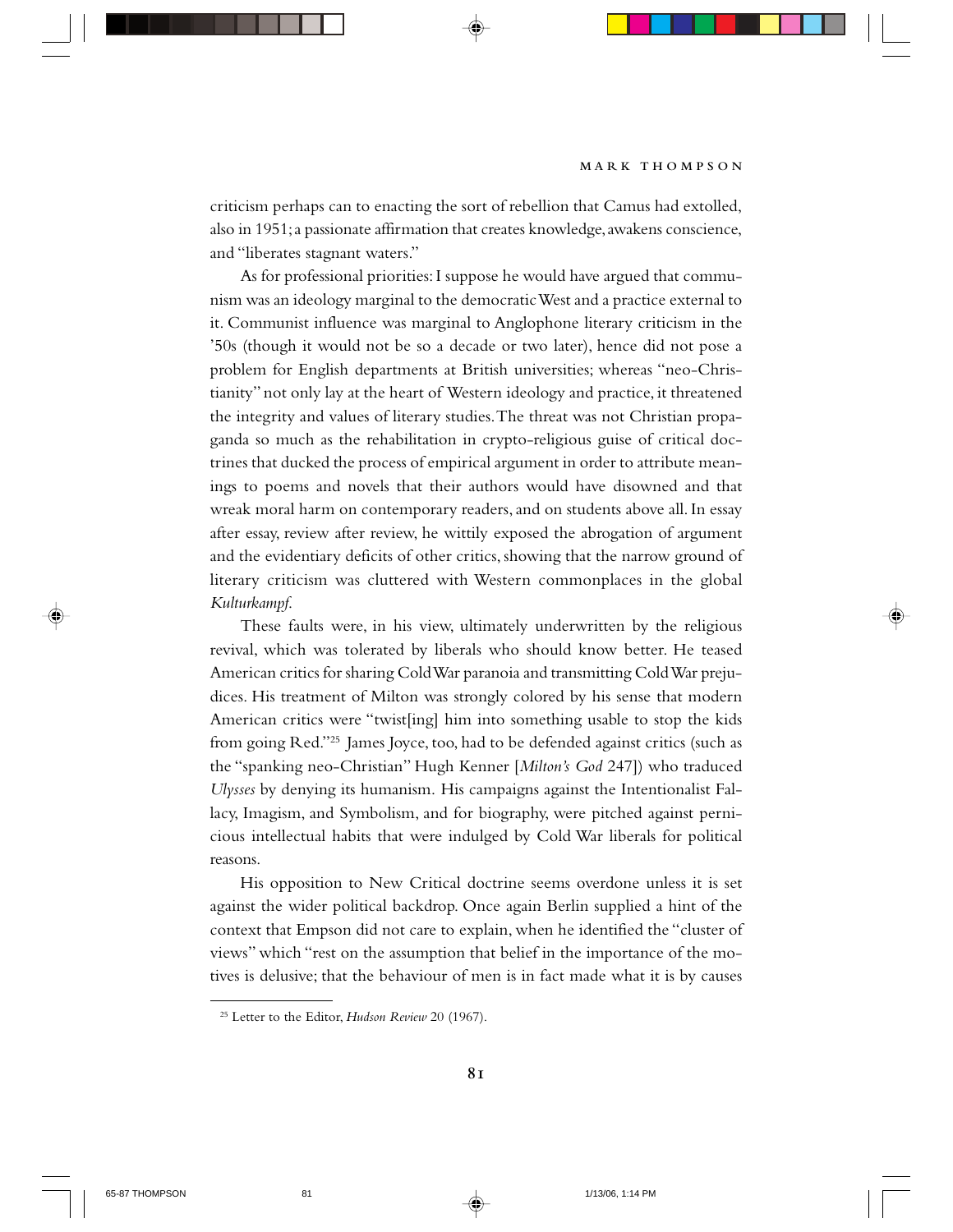criticism perhaps can to enacting the sort of rebellion that Camus had extolled, also in 1951; a passionate affirmation that creates knowledge, awakens conscience, and "liberates stagnant waters."

As for professional priorities: I suppose he would have argued that communism was an ideology marginal to the democratic West and a practice external to it. Communist influence was marginal to Anglophone literary criticism in the '50s (though it would not be so a decade or two later), hence did not pose a problem for English departments at British universities; whereas "neo-Christianity" not only lay at the heart of Western ideology and practice, it threatened the integrity and values of literary studies. The threat was not Christian propaganda so much as the rehabilitation in crypto-religious guise of critical doctrines that ducked the process of empirical argument in order to attribute meanings to poems and novels that their authors would have disowned and that wreak moral harm on contemporary readers, and on students above all. In essay after essay, review after review, he wittily exposed the abrogation of argument and the evidentiary deficits of other critics, showing that the narrow ground of literary criticism was cluttered with Western commonplaces in the global *Kulturkampf*.

These faults were, in his view, ultimately underwritten by the religious revival, which was tolerated by liberals who should know better. He teased American critics for sharing Cold War paranoia and transmitting Cold War prejudices. His treatment of Milton was strongly colored by his sense that modern American critics were "twist[ing] him into something usable to stop the kids from going Red."25 James Joyce, too, had to be defended against critics (such as the "spanking neo-Christian" Hugh Kenner [*Milton's God* 247]) who traduced *Ulysses* by denying its humanism. His campaigns against the Intentionalist Fallacy, Imagism, and Symbolism, and for biography, were pitched against pernicious intellectual habits that were indulged by Cold War liberals for political reasons.

His opposition to New Critical doctrine seems overdone unless it is set against the wider political backdrop. Once again Berlin supplied a hint of the context that Empson did not care to explain, when he identified the "cluster of views" which "rest on the assumption that belief in the importance of the motives is delusive; that the behaviour of men is in fact made what it is by causes

<sup>25</sup> Letter to the Editor, *Hudson Review* 20 (1967).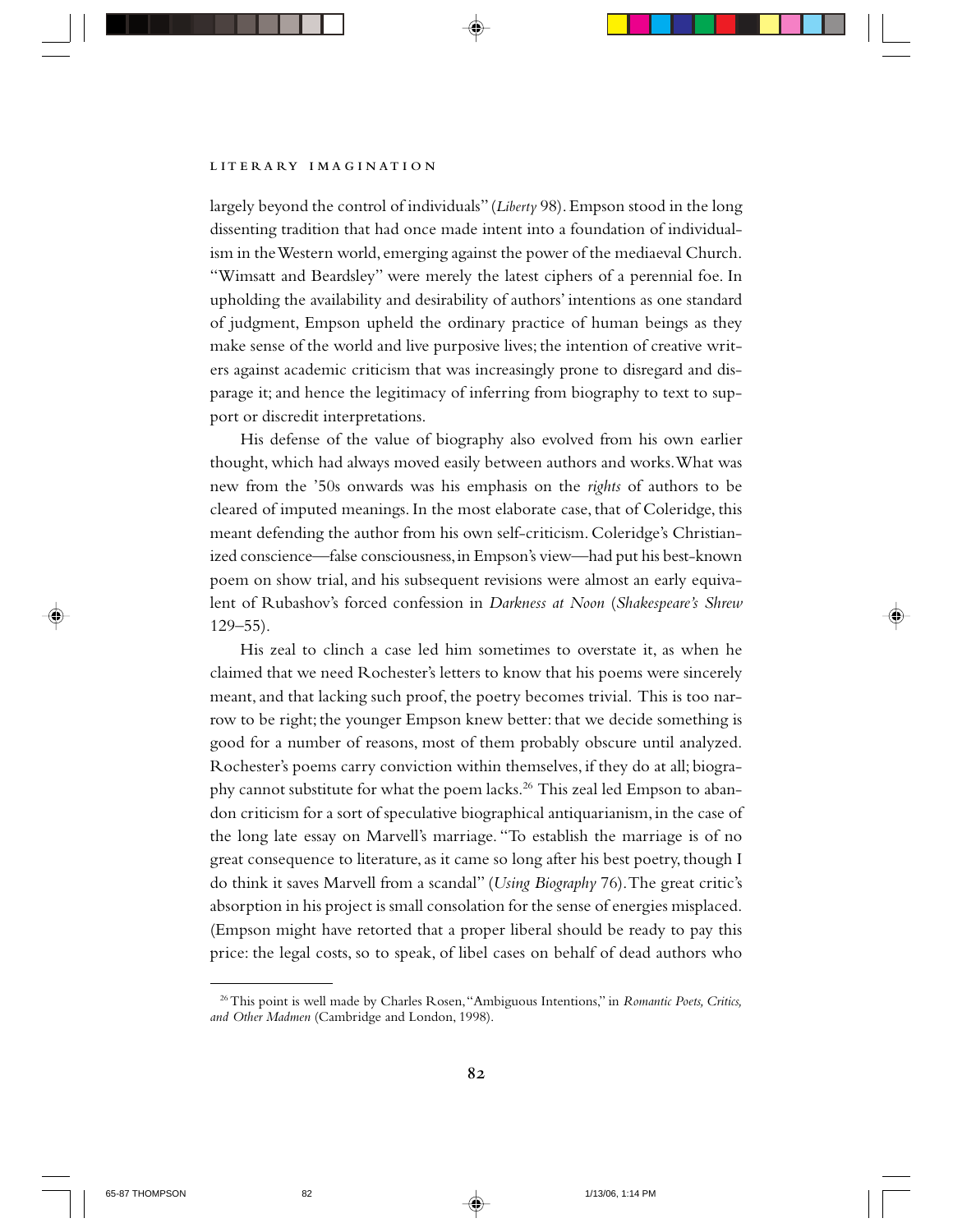largely beyond the control of individuals" (*Liberty* 98). Empson stood in the long dissenting tradition that had once made intent into a foundation of individualism in the Western world, emerging against the power of the mediaeval Church. "Wimsatt and Beardsley" were merely the latest ciphers of a perennial foe. In upholding the availability and desirability of authors' intentions as one standard of judgment, Empson upheld the ordinary practice of human beings as they make sense of the world and live purposive lives; the intention of creative writers against academic criticism that was increasingly prone to disregard and disparage it; and hence the legitimacy of inferring from biography to text to support or discredit interpretations.

His defense of the value of biography also evolved from his own earlier thought, which had always moved easily between authors and works. What was new from the '50s onwards was his emphasis on the *rights* of authors to be cleared of imputed meanings. In the most elaborate case, that of Coleridge, this meant defending the author from his own self-criticism. Coleridge's Christianized conscience—false consciousness, in Empson's view—had put his best-known poem on show trial, and his subsequent revisions were almost an early equivalent of Rubashov's forced confession in *Darkness at Noon* (*Shakespeare's Shrew* 129–55).

His zeal to clinch a case led him sometimes to overstate it, as when he claimed that we need Rochester's letters to know that his poems were sincerely meant, and that lacking such proof, the poetry becomes trivial. This is too narrow to be right; the younger Empson knew better: that we decide something is good for a number of reasons, most of them probably obscure until analyzed. Rochester's poems carry conviction within themselves, if they do at all; biography cannot substitute for what the poem lacks.<sup>26</sup> This zeal led Empson to abandon criticism for a sort of speculative biographical antiquarianism, in the case of the long late essay on Marvell's marriage. "To establish the marriage is of no great consequence to literature, as it came so long after his best poetry, though I do think it saves Marvell from a scandal" (*Using Biography* 76). The great critic's absorption in his project is small consolation for the sense of energies misplaced. (Empson might have retorted that a proper liberal should be ready to pay this price: the legal costs, so to speak, of libel cases on behalf of dead authors who

<sup>&</sup>lt;sup>26</sup> This point is well made by Charles Rosen, "Ambiguous Intentions," in *Romantic Poets*, Critics, *and Other Madmen* (Cambridge and London, 1998).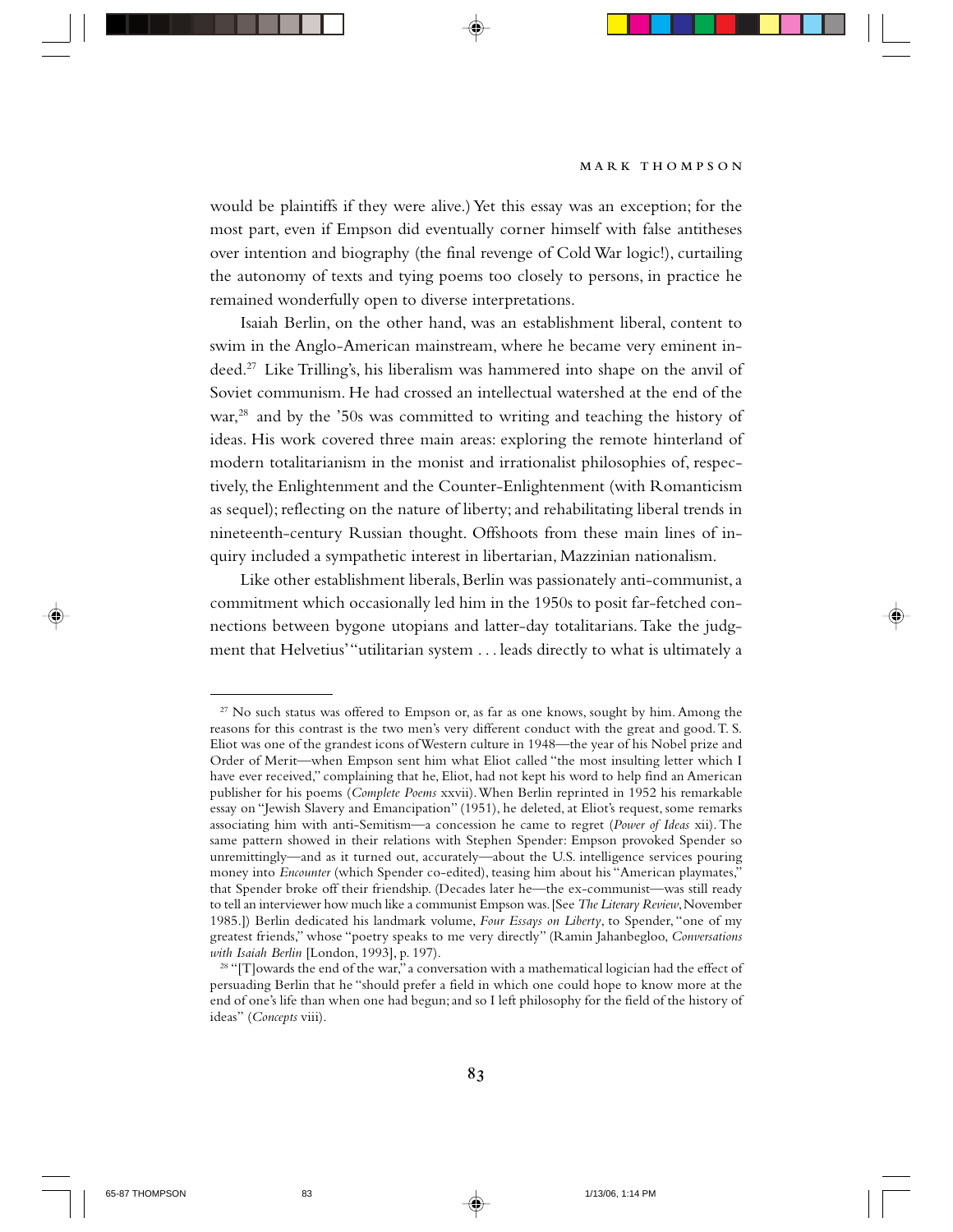would be plaintiffs if they were alive.) Yet this essay was an exception; for the most part, even if Empson did eventually corner himself with false antitheses over intention and biography (the final revenge of Cold War logic!), curtailing the autonomy of texts and tying poems too closely to persons, in practice he remained wonderfully open to diverse interpretations.

Isaiah Berlin, on the other hand, was an establishment liberal, content to swim in the Anglo-American mainstream, where he became very eminent indeed.27 Like Trilling's, his liberalism was hammered into shape on the anvil of Soviet communism. He had crossed an intellectual watershed at the end of the war,<sup>28</sup> and by the '50s was committed to writing and teaching the history of ideas. His work covered three main areas: exploring the remote hinterland of modern totalitarianism in the monist and irrationalist philosophies of, respectively, the Enlightenment and the Counter-Enlightenment (with Romanticism as sequel); reflecting on the nature of liberty; and rehabilitating liberal trends in nineteenth-century Russian thought. Offshoots from these main lines of inquiry included a sympathetic interest in libertarian, Mazzinian nationalism.

Like other establishment liberals, Berlin was passionately anti-communist, a commitment which occasionally led him in the 1950s to posit far-fetched connections between bygone utopians and latter-day totalitarians. Take the judgment that Helvetius' "utilitarian system . . . leads directly to what is ultimately a

 $27$  No such status was offered to Empson or, as far as one knows, sought by him. Among the reasons for this contrast is the two men's very different conduct with the great and good. T. S. Eliot was one of the grandest icons of Western culture in 1948—the year of his Nobel prize and Order of Merit—when Empson sent him what Eliot called "the most insulting letter which I have ever received," complaining that he, Eliot, had not kept his word to help find an American publisher for his poems (*Complete Poems* xxvii). When Berlin reprinted in 1952 his remarkable essay on "Jewish Slavery and Emancipation" (1951), he deleted, at Eliot's request, some remarks associating him with anti-Semitism—a concession he came to regret (*Power of Ideas* xii). The same pattern showed in their relations with Stephen Spender: Empson provoked Spender so unremittingly—and as it turned out, accurately—about the U.S. intelligence services pouring money into *Encounter* (which Spender co-edited), teasing him about his "American playmates," that Spender broke off their friendship. (Decades later he—the ex-communist—was still ready to tell an interviewer how much like a communist Empson was. [See *The Literary Review*, November 1985.]) Berlin dedicated his landmark volume, *Four Essays on Liberty*, to Spender, "one of my greatest friends," whose "poetry speaks to me very directly" (Ramin Jahanbegloo, *Conversations with Isaiah Berlin* [London, 1993], p. 197).

<sup>&</sup>lt;sup>28</sup> "[T]owards the end of the war," a conversation with a mathematical logician had the effect of persuading Berlin that he "should prefer a field in which one could hope to know more at the end of one's life than when one had begun; and so I left philosophy for the field of the history of ideas" (*Concepts* viii).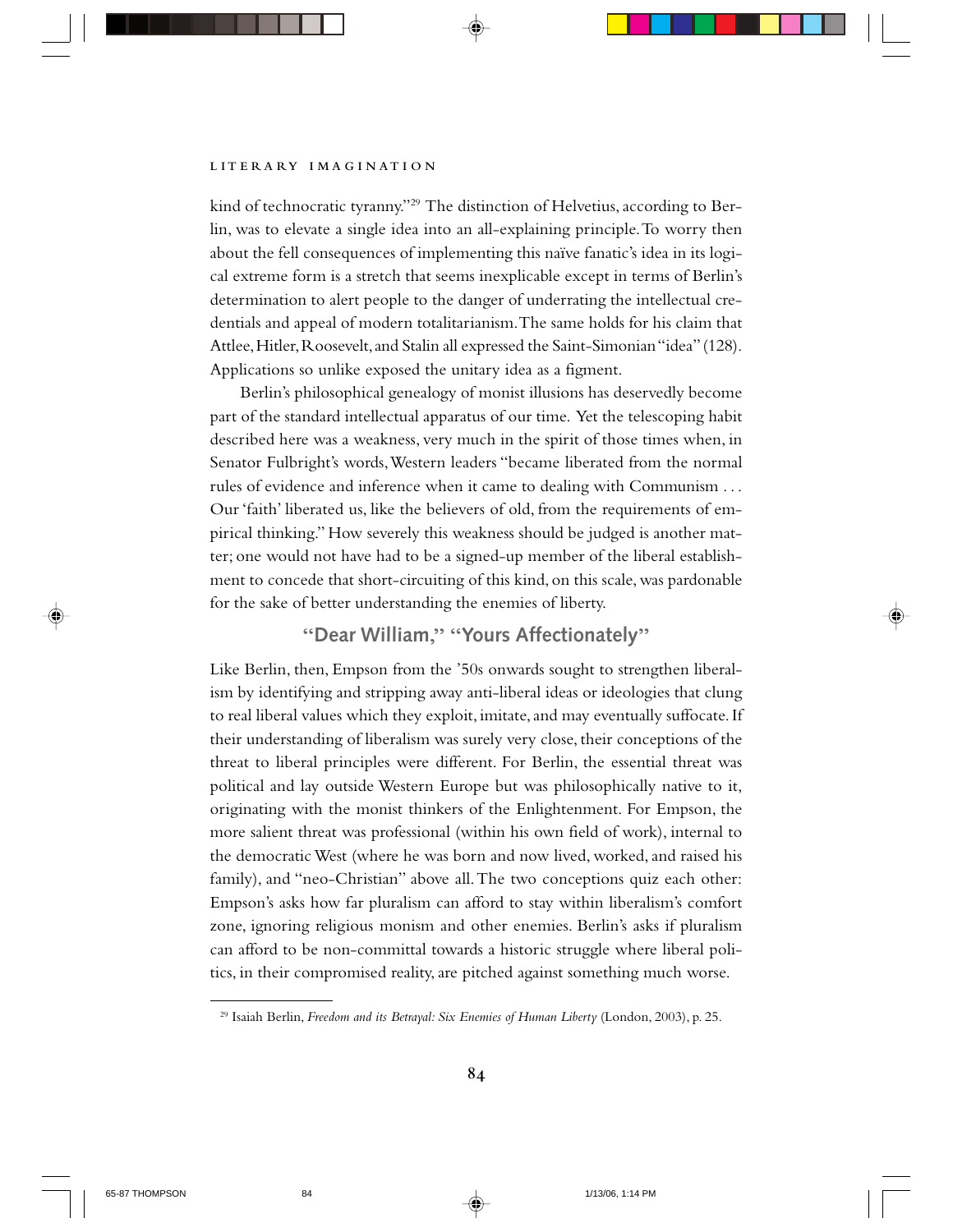kind of technocratic tyranny."29 The distinction of Helvetius, according to Berlin, was to elevate a single idea into an all-explaining principle. To worry then about the fell consequences of implementing this naïve fanatic's idea in its logical extreme form is a stretch that seems inexplicable except in terms of Berlin's determination to alert people to the danger of underrating the intellectual credentials and appeal of modern totalitarianism. The same holds for his claim that Attlee, Hitler, Roosevelt, and Stalin all expressed the Saint-Simonian "idea" (128). Applications so unlike exposed the unitary idea as a figment.

Berlin's philosophical genealogy of monist illusions has deservedly become part of the standard intellectual apparatus of our time. Yet the telescoping habit described here was a weakness, very much in the spirit of those times when, in Senator Fulbright's words, Western leaders "became liberated from the normal rules of evidence and inference when it came to dealing with Communism . . . Our 'faith' liberated us, like the believers of old, from the requirements of empirical thinking." How severely this weakness should be judged is another matter; one would not have had to be a signed-up member of the liberal establishment to concede that short-circuiting of this kind, on this scale, was pardonable for the sake of better understanding the enemies of liberty.

## **"Dear William," "Yours Affectionately"**

Like Berlin, then, Empson from the '50s onwards sought to strengthen liberalism by identifying and stripping away anti-liberal ideas or ideologies that clung to real liberal values which they exploit, imitate, and may eventually suffocate. If their understanding of liberalism was surely very close, their conceptions of the threat to liberal principles were different. For Berlin, the essential threat was political and lay outside Western Europe but was philosophically native to it, originating with the monist thinkers of the Enlightenment. For Empson, the more salient threat was professional (within his own field of work), internal to the democratic West (where he was born and now lived, worked, and raised his family), and "neo-Christian" above all. The two conceptions quiz each other: Empson's asks how far pluralism can afford to stay within liberalism's comfort zone, ignoring religious monism and other enemies. Berlin's asks if pluralism can afford to be non-committal towards a historic struggle where liberal politics, in their compromised reality, are pitched against something much worse.

<sup>29</sup> Isaiah Berlin, *Freedom and its Betrayal: Six Enemies of Human Liberty* (London, 2003), p. 25.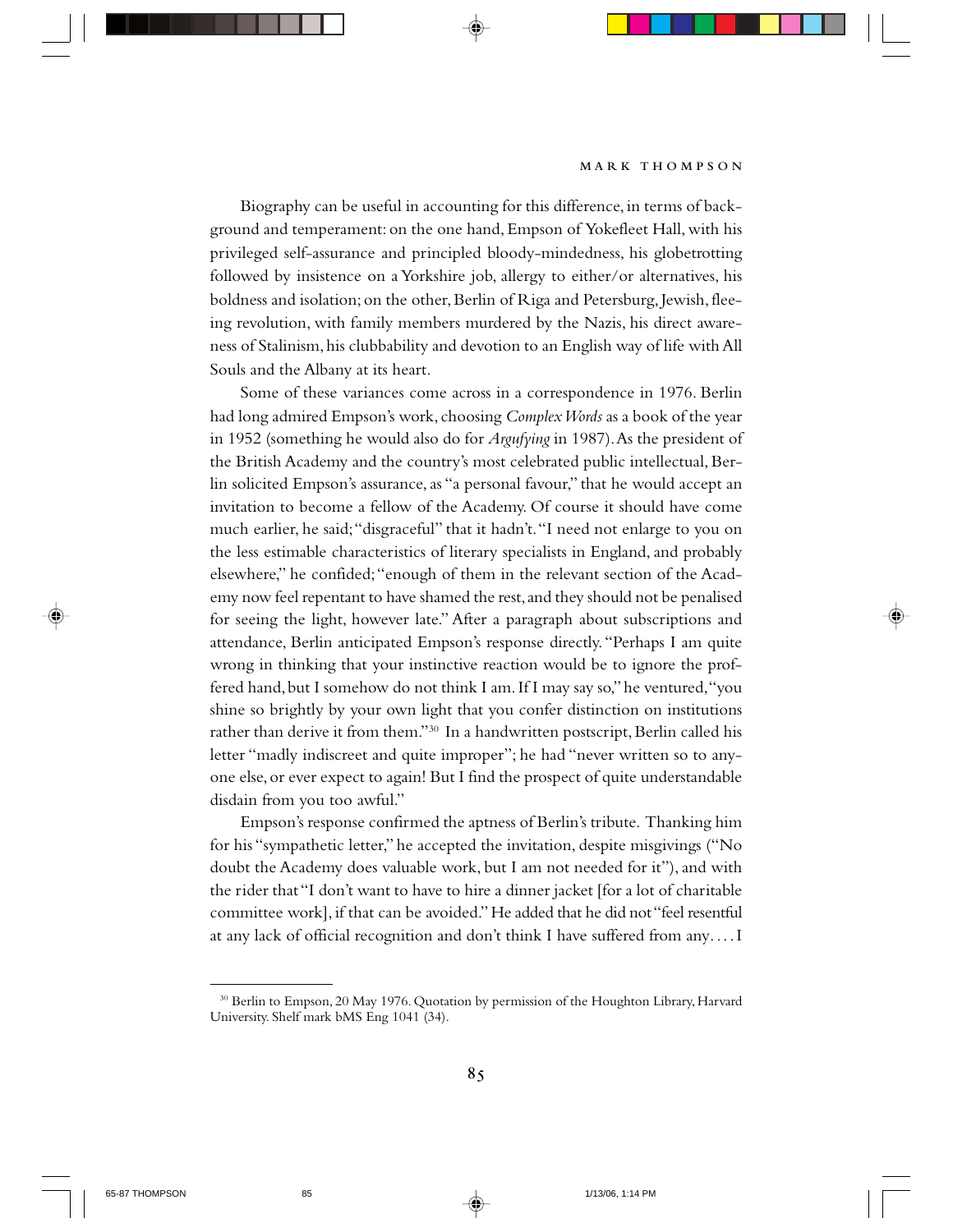Biography can be useful in accounting for this difference, in terms of background and temperament: on the one hand, Empson of Yokefleet Hall, with his privileged self-assurance and principled bloody-mindedness, his globetrotting followed by insistence on a Yorkshire job, allergy to either/or alternatives, his boldness and isolation; on the other, Berlin of Riga and Petersburg, Jewish, fleeing revolution, with family members murdered by the Nazis, his direct awareness of Stalinism, his clubbability and devotion to an English way of life with All Souls and the Albany at its heart.

Some of these variances come across in a correspondence in 1976. Berlin had long admired Empson's work, choosing *Complex Words* as a book of the year in 1952 (something he would also do for *Argufying* in 1987). As the president of the British Academy and the country's most celebrated public intellectual, Berlin solicited Empson's assurance, as "a personal favour," that he would accept an invitation to become a fellow of the Academy. Of course it should have come much earlier, he said; "disgraceful" that it hadn't. "I need not enlarge to you on the less estimable characteristics of literary specialists in England, and probably elsewhere," he confided; "enough of them in the relevant section of the Academy now feel repentant to have shamed the rest, and they should not be penalised for seeing the light, however late." After a paragraph about subscriptions and attendance, Berlin anticipated Empson's response directly. "Perhaps I am quite wrong in thinking that your instinctive reaction would be to ignore the proffered hand, but I somehow do not think I am. If I may say so," he ventured, "you shine so brightly by your own light that you confer distinction on institutions rather than derive it from them."30 In a handwritten postscript, Berlin called his letter "madly indiscreet and quite improper"; he had "never written so to anyone else, or ever expect to again! But I find the prospect of quite understandable disdain from you too awful."

Empson's response confirmed the aptness of Berlin's tribute. Thanking him for his "sympathetic letter," he accepted the invitation, despite misgivings ("No doubt the Academy does valuable work, but I am not needed for it"), and with the rider that "I don't want to have to hire a dinner jacket [for a lot of charitable committee work], if that can be avoided." He added that he did not "feel resentful at any lack of official recognition and don't think I have suffered from any. . . . I

<sup>&</sup>lt;sup>30</sup> Berlin to Empson, 20 May 1976. Quotation by permission of the Houghton Library, Harvard University. Shelf mark bMS Eng 1041 (34).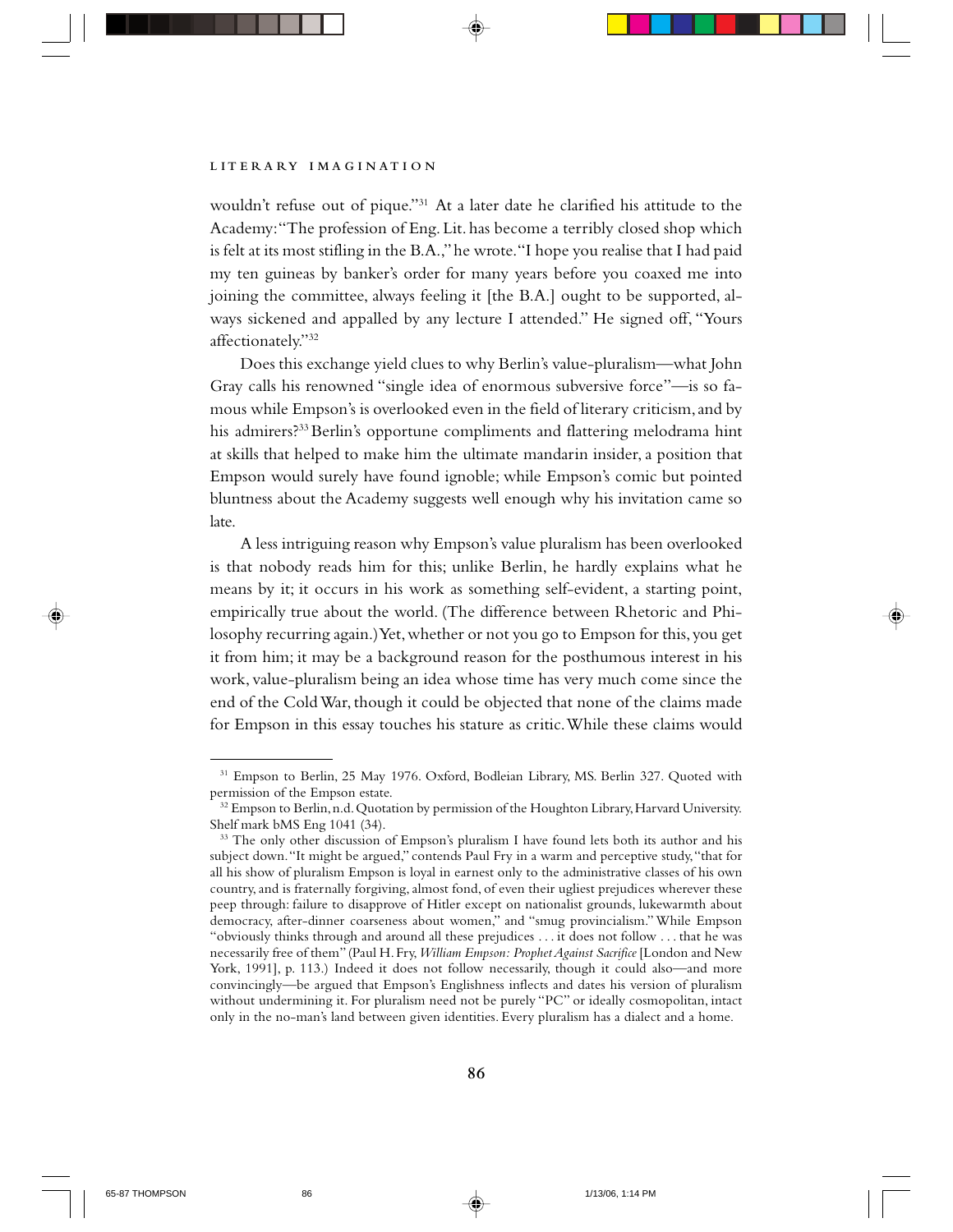wouldn't refuse out of pique."31 At a later date he clarified his attitude to the Academy: "The profession of Eng. Lit. has become a terribly closed shop which is felt at its most stifling in the B.A.," he wrote. "I hope you realise that I had paid my ten guineas by banker's order for many years before you coaxed me into joining the committee, always feeling it [the B.A.] ought to be supported, always sickened and appalled by any lecture I attended." He signed off, "Yours affectionately."32

Does this exchange yield clues to why Berlin's value-pluralism—what John Gray calls his renowned "single idea of enormous subversive force"—is so famous while Empson's is overlooked even in the field of literary criticism, and by his admirers?<sup>33</sup>Berlin's opportune compliments and flattering melodrama hint at skills that helped to make him the ultimate mandarin insider, a position that Empson would surely have found ignoble; while Empson's comic but pointed bluntness about the Academy suggests well enough why his invitation came so late.

A less intriguing reason why Empson's value pluralism has been overlooked is that nobody reads him for this; unlike Berlin, he hardly explains what he means by it; it occurs in his work as something self-evident, a starting point, empirically true about the world. (The difference between Rhetoric and Philosophy recurring again.) Yet, whether or not you go to Empson for this, you get it from him; it may be a background reason for the posthumous interest in his work, value-pluralism being an idea whose time has very much come since the end of the Cold War, though it could be objected that none of the claims made for Empson in this essay touches his stature as critic. While these claims would

<sup>&</sup>lt;sup>31</sup> Empson to Berlin, 25 May 1976. Oxford, Bodleian Library, MS. Berlin 327. Quoted with permission of the Empson estate.

 $32$  Empson to Berlin, n.d. Quotation by permission of the Houghton Library, Harvard University. Shelf mark bMS Eng 1041 (34).

<sup>&</sup>lt;sup>33</sup> The only other discussion of Empson's pluralism I have found lets both its author and his subject down. "It might be argued," contends Paul Fry in a warm and perceptive study, "that for all his show of pluralism Empson is loyal in earnest only to the administrative classes of his own country, and is fraternally forgiving, almost fond, of even their ugliest prejudices wherever these peep through: failure to disapprove of Hitler except on nationalist grounds, lukewarmth about democracy, after-dinner coarseness about women," and "smug provincialism." While Empson "obviously thinks through and around all these prejudices . . . it does not follow . . . that he was necessarily free of them" (Paul H. Fry, *William Empson: Prophet Against Sacrifice* [London and New York, 1991], p. 113.) Indeed it does not follow necessarily, though it could also—and more convincingly—be argued that Empson's Englishness inflects and dates his version of pluralism without undermining it. For pluralism need not be purely "PC" or ideally cosmopolitan, intact only in the no-man's land between given identities. Every pluralism has a dialect and a home.